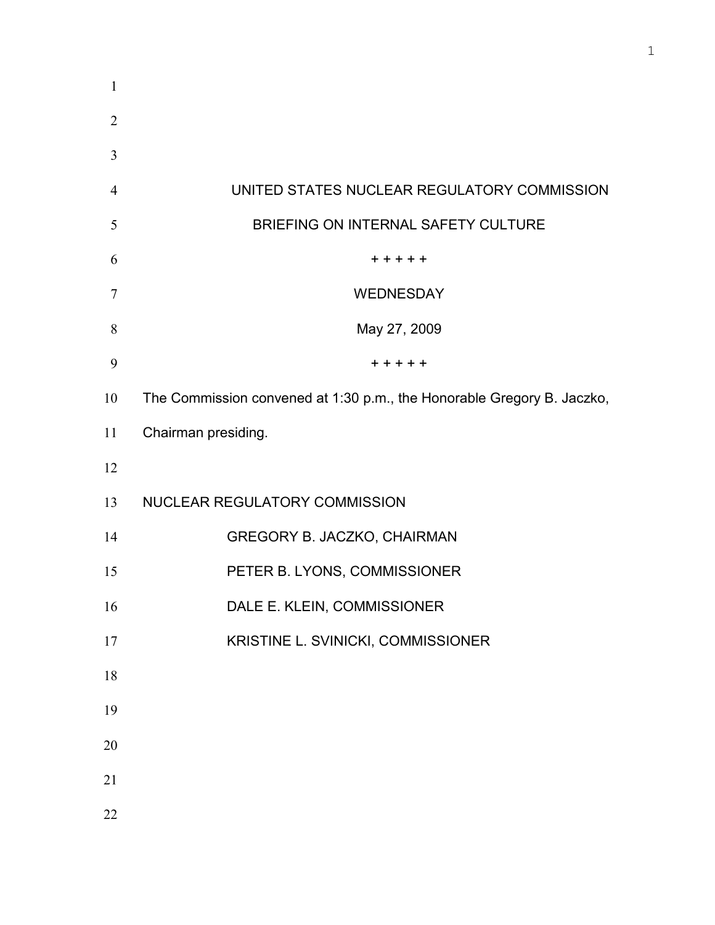| $\mathbf{1}$   |                                                                        |
|----------------|------------------------------------------------------------------------|
| $\overline{2}$ |                                                                        |
| 3              |                                                                        |
| $\overline{4}$ | UNITED STATES NUCLEAR REGULATORY COMMISSION                            |
| 5              | BRIEFING ON INTERNAL SAFETY CULTURE                                    |
| 6              | + + + + +                                                              |
| 7              | <b>WEDNESDAY</b>                                                       |
| 8              | May 27, 2009                                                           |
| 9              | $+ + + + +$                                                            |
| 10             | The Commission convened at 1:30 p.m., the Honorable Gregory B. Jaczko, |
| 11             | Chairman presiding.                                                    |
| 12             |                                                                        |
| 13             | NUCLEAR REGULATORY COMMISSION                                          |
| 14             | GREGORY B. JACZKO, CHAIRMAN                                            |
| 15             | PETER B. LYONS, COMMISSIONER                                           |
| 16             | DALE E. KLEIN, COMMISSIONER                                            |
| 17             | KRISTINE L. SVINICKI, COMMISSIONER                                     |
| 18             |                                                                        |
| 19             |                                                                        |
| 20             |                                                                        |
| 21             |                                                                        |
| 22             |                                                                        |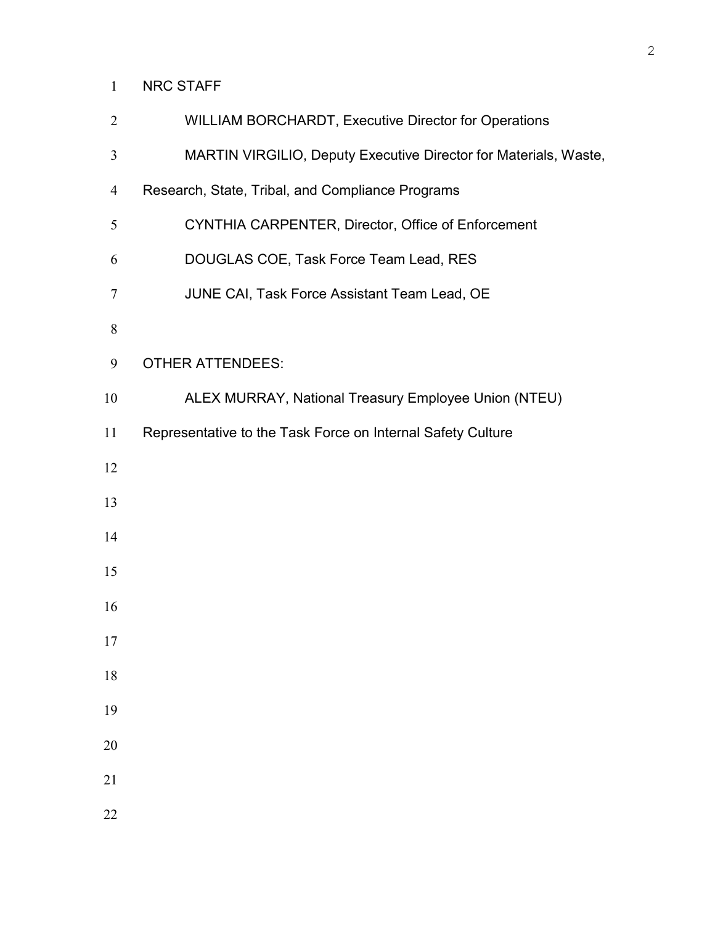## NRC STAFF

| $\overline{2}$ | WILLIAM BORCHARDT, Executive Director for Operations             |
|----------------|------------------------------------------------------------------|
| 3              | MARTIN VIRGILIO, Deputy Executive Director for Materials, Waste, |
| 4              | Research, State, Tribal, and Compliance Programs                 |
| 5              | CYNTHIA CARPENTER, Director, Office of Enforcement               |
| 6              | DOUGLAS COE, Task Force Team Lead, RES                           |
| 7              | JUNE CAI, Task Force Assistant Team Lead, OE                     |
| 8              |                                                                  |
| 9              | <b>OTHER ATTENDEES:</b>                                          |
| 10             | ALEX MURRAY, National Treasury Employee Union (NTEU)             |
| 11             | Representative to the Task Force on Internal Safety Culture      |
| 12             |                                                                  |
| 13             |                                                                  |
| 14             |                                                                  |
| 15             |                                                                  |
| 16             |                                                                  |
| 17             |                                                                  |
| 18             |                                                                  |
| 19             |                                                                  |
| 20             |                                                                  |
| 21             |                                                                  |
| 22             |                                                                  |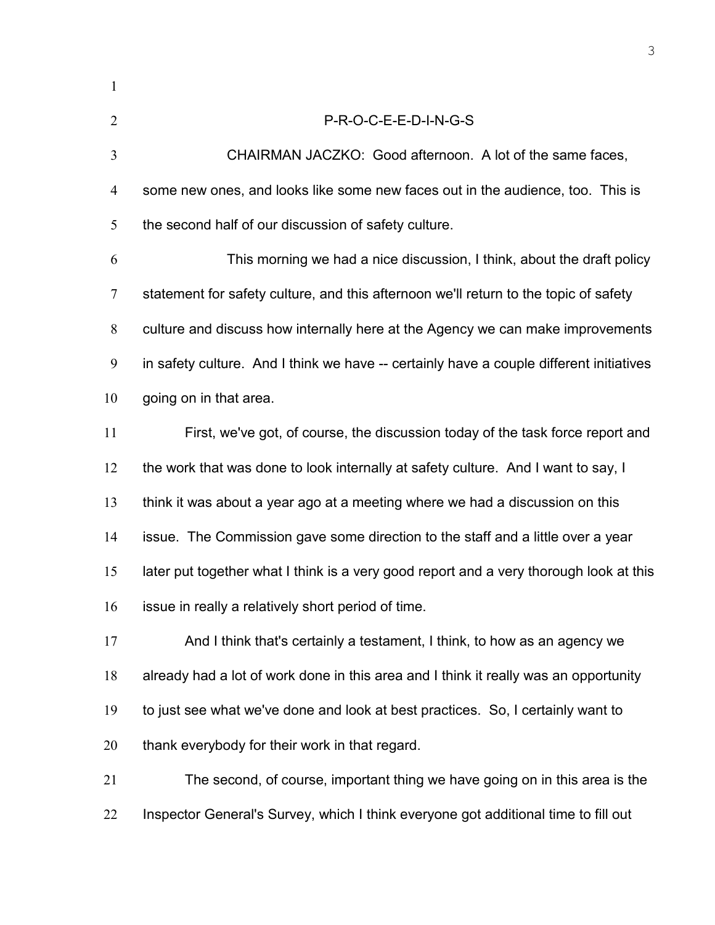| $\mathbf{1}$   |                                                                                         |
|----------------|-----------------------------------------------------------------------------------------|
| $\overline{2}$ | P-R-O-C-E-E-D-I-N-G-S                                                                   |
| 3              | CHAIRMAN JACZKO: Good afternoon. A lot of the same faces,                               |
| 4              | some new ones, and looks like some new faces out in the audience, too. This is          |
| 5              | the second half of our discussion of safety culture.                                    |
| 6              | This morning we had a nice discussion, I think, about the draft policy                  |
| $\tau$         | statement for safety culture, and this afternoon we'll return to the topic of safety    |
| 8              | culture and discuss how internally here at the Agency we can make improvements          |
| 9              | in safety culture. And I think we have -- certainly have a couple different initiatives |
| 10             | going on in that area.                                                                  |
| 11             | First, we've got, of course, the discussion today of the task force report and          |
| 12             | the work that was done to look internally at safety culture. And I want to say, I       |
| 13             | think it was about a year ago at a meeting where we had a discussion on this            |
| 14             | issue. The Commission gave some direction to the staff and a little over a year         |
| 15             | later put together what I think is a very good report and a very thorough look at this  |
| 16             | issue in really a relatively short period of time.                                      |
| 17             | And I think that's certainly a testament, I think, to how as an agency we               |
| 18             | already had a lot of work done in this area and I think it really was an opportunity    |
| 19             | to just see what we've done and look at best practices. So, I certainly want to         |
| 20             | thank everybody for their work in that regard.                                          |
| 21             | The second, of course, important thing we have going on in this area is the             |
| 22             | Inspector General's Survey, which I think everyone got additional time to fill out      |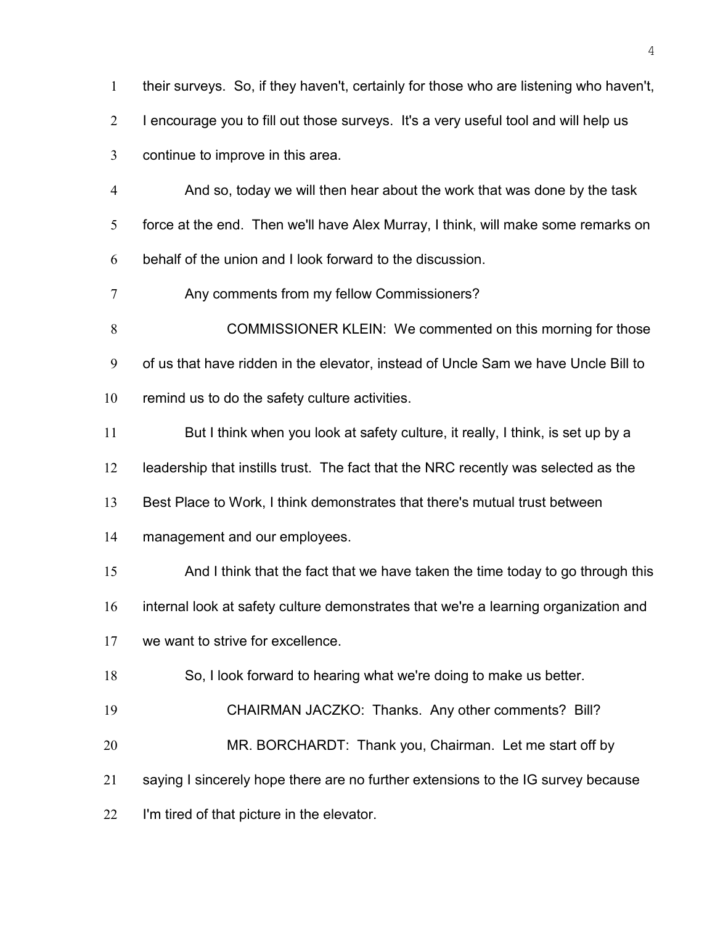their surveys. So, if they haven't, certainly for those who are listening who haven't, I encourage you to fill out those surveys. It's a very useful tool and will help us continue to improve in this area. And so, today we will then hear about the work that was done by the task force at the end. Then we'll have Alex Murray, I think, will make some remarks on behalf of the union and I look forward to the discussion. Any comments from my fellow Commissioners? **COMMISSIONER KLEIN:** We commented on this morning for those of us that have ridden in the elevator, instead of Uncle Sam we have Uncle Bill to remind us to do the safety culture activities. 11 But I think when you look at safety culture, it really, I think, is set up by a leadership that instills trust. The fact that the NRC recently was selected as the Best Place to Work, I think demonstrates that there's mutual trust between management and our employees. And I think that the fact that we have taken the time today to go through this internal look at safety culture demonstrates that we're a learning organization and we want to strive for excellence. So, I look forward to hearing what we're doing to make us better. CHAIRMAN JACZKO: Thanks. Any other comments? Bill? MR. BORCHARDT: Thank you, Chairman. Let me start off by saying I sincerely hope there are no further extensions to the IG survey because I'm tired of that picture in the elevator.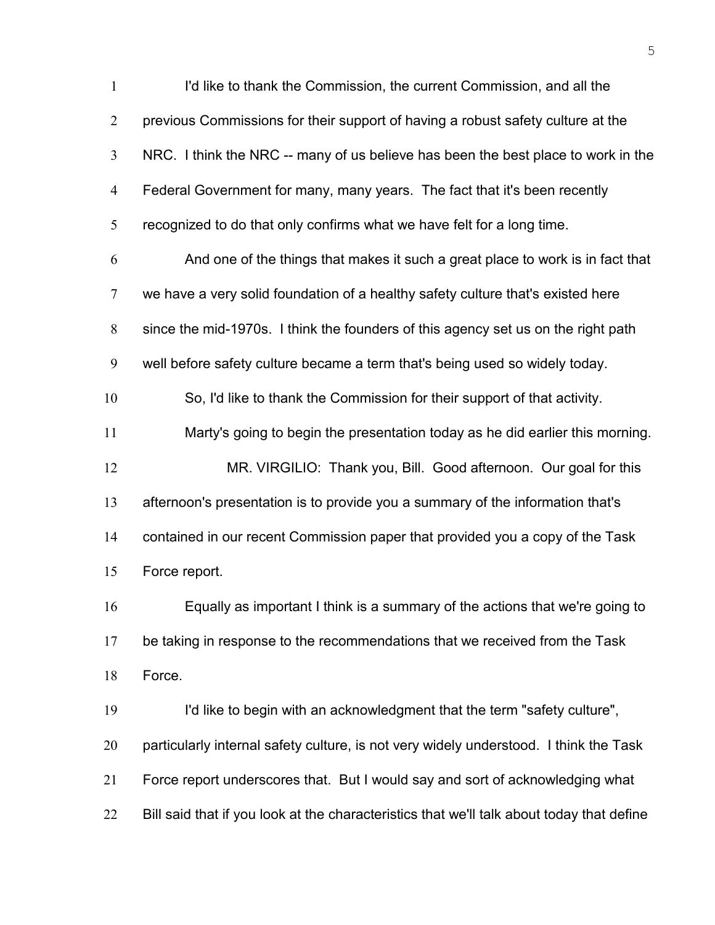| $\mathbf{1}$   | I'd like to thank the Commission, the current Commission, and all the                     |
|----------------|-------------------------------------------------------------------------------------------|
| $\overline{2}$ | previous Commissions for their support of having a robust safety culture at the           |
| 3              | NRC. I think the NRC -- many of us believe has been the best place to work in the         |
| $\overline{4}$ | Federal Government for many, many years. The fact that it's been recently                 |
| 5              | recognized to do that only confirms what we have felt for a long time.                    |
| 6              | And one of the things that makes it such a great place to work is in fact that            |
| $\overline{7}$ | we have a very solid foundation of a healthy safety culture that's existed here           |
| 8              | since the mid-1970s. I think the founders of this agency set us on the right path         |
| 9              | well before safety culture became a term that's being used so widely today.               |
| 10             | So, I'd like to thank the Commission for their support of that activity.                  |
| 11             | Marty's going to begin the presentation today as he did earlier this morning.             |
| 12             | MR. VIRGILIO: Thank you, Bill. Good afternoon. Our goal for this                          |
| 13             | afternoon's presentation is to provide you a summary of the information that's            |
| 14             | contained in our recent Commission paper that provided you a copy of the Task             |
| 15             | Force report.                                                                             |
| 16             | Equally as important I think is a summary of the actions that we're going to              |
| 17             | be taking in response to the recommendations that we received from the Task               |
| 18             | Force.                                                                                    |
| 19             | I'd like to begin with an acknowledgment that the term "safety culture",                  |
| 20             | particularly internal safety culture, is not very widely understood. I think the Task     |
| 21             | Force report underscores that. But I would say and sort of acknowledging what             |
| 22             | Bill said that if you look at the characteristics that we'll talk about today that define |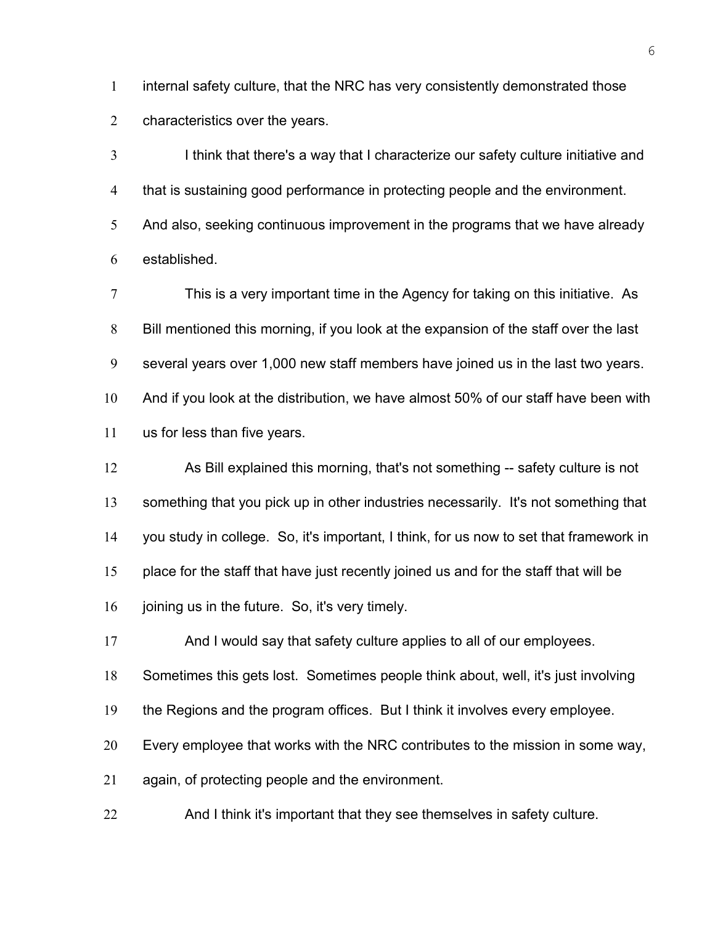internal safety culture, that the NRC has very consistently demonstrated those characteristics over the years.

I think that there's a way that I characterize our safety culture initiative and that is sustaining good performance in protecting people and the environment. 5 And also, seeking continuous improvement in the programs that we have already established.

This is a very important time in the Agency for taking on this initiative. As Bill mentioned this morning, if you look at the expansion of the staff over the last several years over 1,000 new staff members have joined us in the last two years. And if you look at the distribution, we have almost 50% of our staff have been with us for less than five years.

As Bill explained this morning, that's not something -- safety culture is not 13 something that you pick up in other industries necessarily. It's not something that you study in college. So, it's important, I think, for us now to set that framework in place for the staff that have just recently joined us and for the staff that will be 16 joining us in the future. So, it's very timely.

And I would say that safety culture applies to all of our employees.

Sometimes this gets lost. Sometimes people think about, well, it's just involving

the Regions and the program offices. But I think it involves every employee.

Every employee that works with the NRC contributes to the mission in some way,

again, of protecting people and the environment.

And I think it's important that they see themselves in safety culture.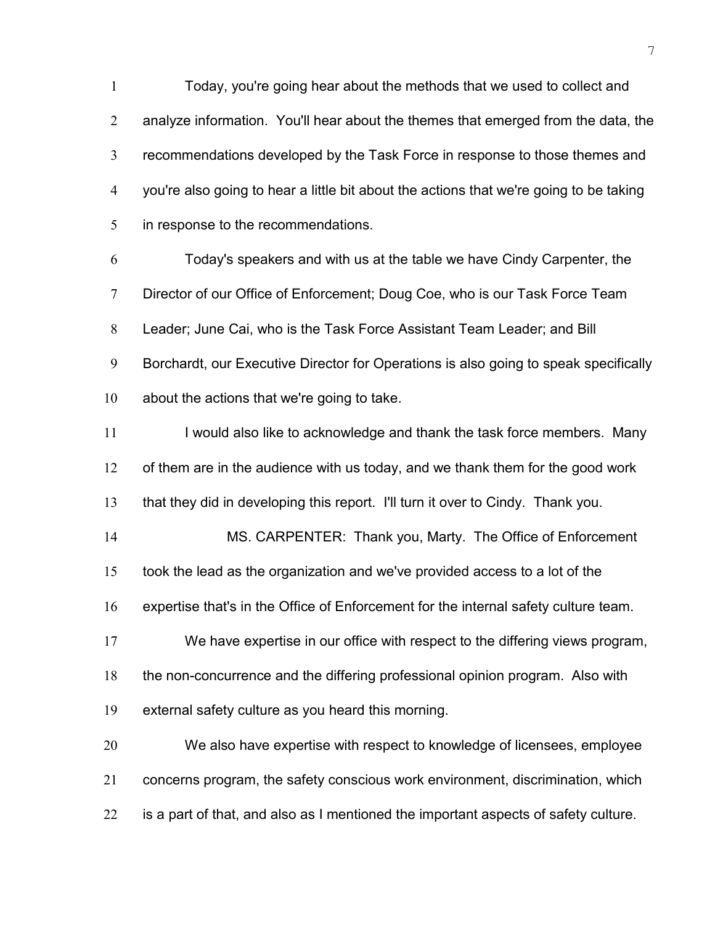Today, you're going hear about the methods that we used to collect and analyze information. You'll hear about the themes that emerged from the data, the recommendations developed by the Task Force in response to those themes and you're also going to hear a little bit about the actions that we're going to be taking in response to the recommendations.

Today's speakers and with us at the table we have Cindy Carpenter, the Director of our Office of Enforcement; Doug Coe, who is our Task Force Team Leader; June Cai, who is the Task Force Assistant Team Leader; and Bill Borchardt, our Executive Director for Operations is also going to speak specifically about the actions that we're going to take.

11 I would also like to acknowledge and thank the task force members. Many of them are in the audience with us today, and we thank them for the good work that they did in developing this report. I'll turn it over to Cindy. Thank you.

MS. CARPENTER: Thank you, Marty. The Office of Enforcement took the lead as the organization and we've provided access to a lot of the expertise that's in the Office of Enforcement for the internal safety culture team. We have expertise in our office with respect to the differing views program, the non-concurrence and the differing professional opinion program. Also with

external safety culture as you heard this morning.

We also have expertise with respect to knowledge of licensees, employee concerns program, the safety conscious work environment, discrimination, which is a part of that, and also as I mentioned the important aspects of safety culture.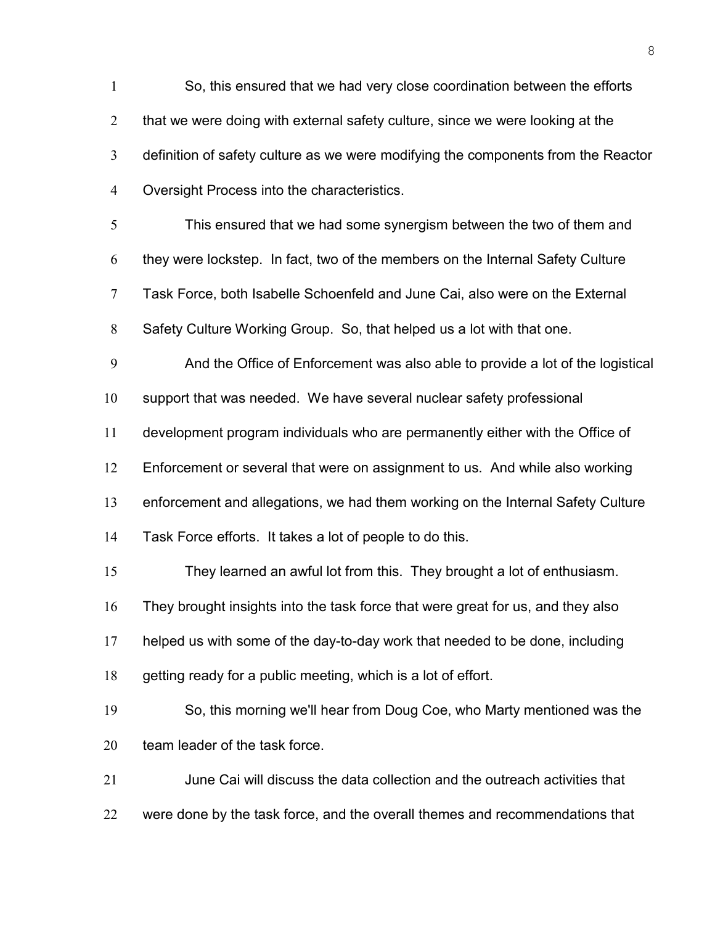So, this ensured that we had very close coordination between the efforts 2 that we were doing with external safety culture, since we were looking at the definition of safety culture as we were modifying the components from the Reactor Oversight Process into the characteristics. This ensured that we had some synergism between the two of them and they were lockstep. In fact, two of the members on the Internal Safety Culture Task Force, both Isabelle Schoenfeld and June Cai, also were on the External Safety Culture Working Group. So, that helped us a lot with that one. And the Office of Enforcement was also able to provide a lot of the logistical support that was needed. We have several nuclear safety professional development program individuals who are permanently either with the Office of Enforcement or several that were on assignment to us. And while also working enforcement and allegations, we had them working on the Internal Safety Culture Task Force efforts. It takes a lot of people to do this. They learned an awful lot from this. They brought a lot of enthusiasm. They brought insights into the task force that were great for us, and they also helped us with some of the day-to-day work that needed to be done, including getting ready for a public meeting, which is a lot of effort. So, this morning we'll hear from Doug Coe, who Marty mentioned was the team leader of the task force. June Cai will discuss the data collection and the outreach activities that 22 were done by the task force, and the overall themes and recommendations that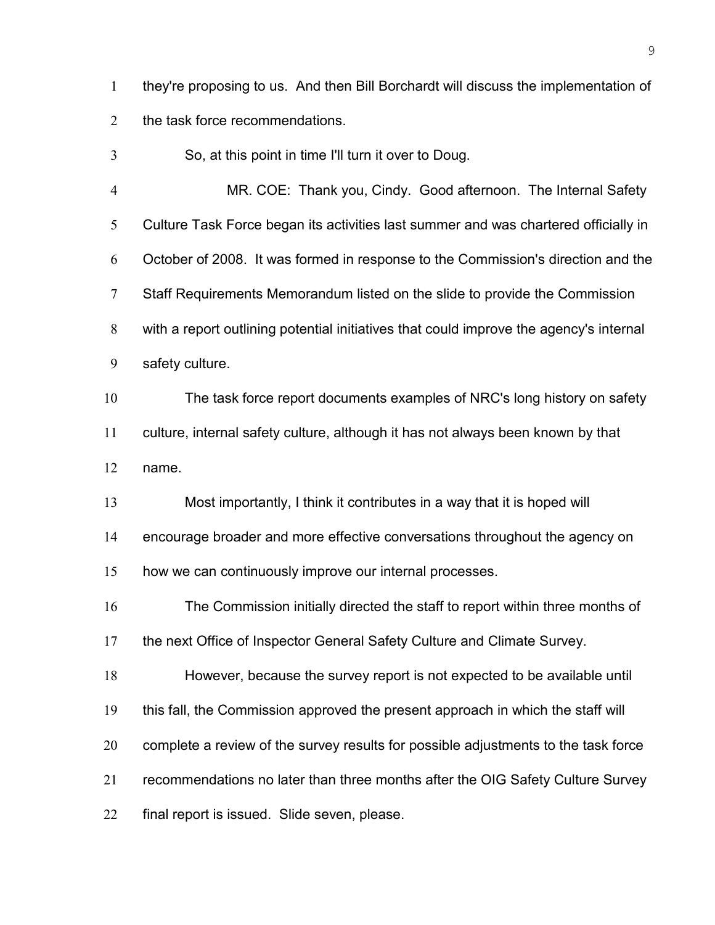they're proposing to us. And then Bill Borchardt will discuss the implementation of the task force recommendations.

So, at this point in time I'll turn it over to Doug.

MR. COE: Thank you, Cindy. Good afternoon. The Internal Safety Culture Task Force began its activities last summer and was chartered officially in October of 2008. It was formed in response to the Commission's direction and the Staff Requirements Memorandum listed on the slide to provide the Commission with a report outlining potential initiatives that could improve the agency's internal safety culture.

The task force report documents examples of NRC's long history on safety culture, internal safety culture, although it has not always been known by that name.

Most importantly, I think it contributes in a way that it is hoped will

encourage broader and more effective conversations throughout the agency on

how we can continuously improve our internal processes.

The Commission initially directed the staff to report within three months of the next Office of Inspector General Safety Culture and Climate Survey.

However, because the survey report is not expected to be available until this fall, the Commission approved the present approach in which the staff will complete a review of the survey results for possible adjustments to the task force

recommendations no later than three months after the OIG Safety Culture Survey

final report is issued. Slide seven, please.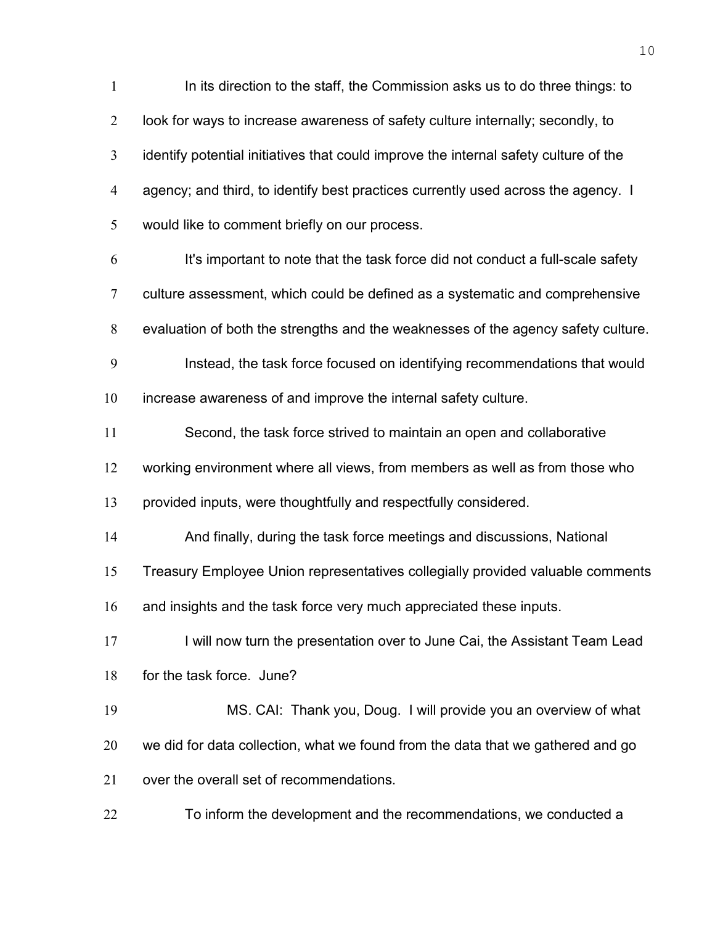In its direction to the staff, the Commission asks us to do three things: to look for ways to increase awareness of safety culture internally; secondly, to identify potential initiatives that could improve the internal safety culture of the agency; and third, to identify best practices currently used across the agency. I would like to comment briefly on our process. It's important to note that the task force did not conduct a full-scale safety culture assessment, which could be defined as a systematic and comprehensive evaluation of both the strengths and the weaknesses of the agency safety culture. Instead, the task force focused on identifying recommendations that would increase awareness of and improve the internal safety culture. Second, the task force strived to maintain an open and collaborative working environment where all views, from members as well as from those who provided inputs, were thoughtfully and respectfully considered. And finally, during the task force meetings and discussions, National Treasury Employee Union representatives collegially provided valuable comments 16 and insights and the task force very much appreciated these inputs. 17 I will now turn the presentation over to June Cai, the Assistant Team Lead for the task force. June? MS. CAI: Thank you, Doug. I will provide you an overview of what we did for data collection, what we found from the data that we gathered and go 21 over the overall set of recommendations. To inform the development and the recommendations, we conducted a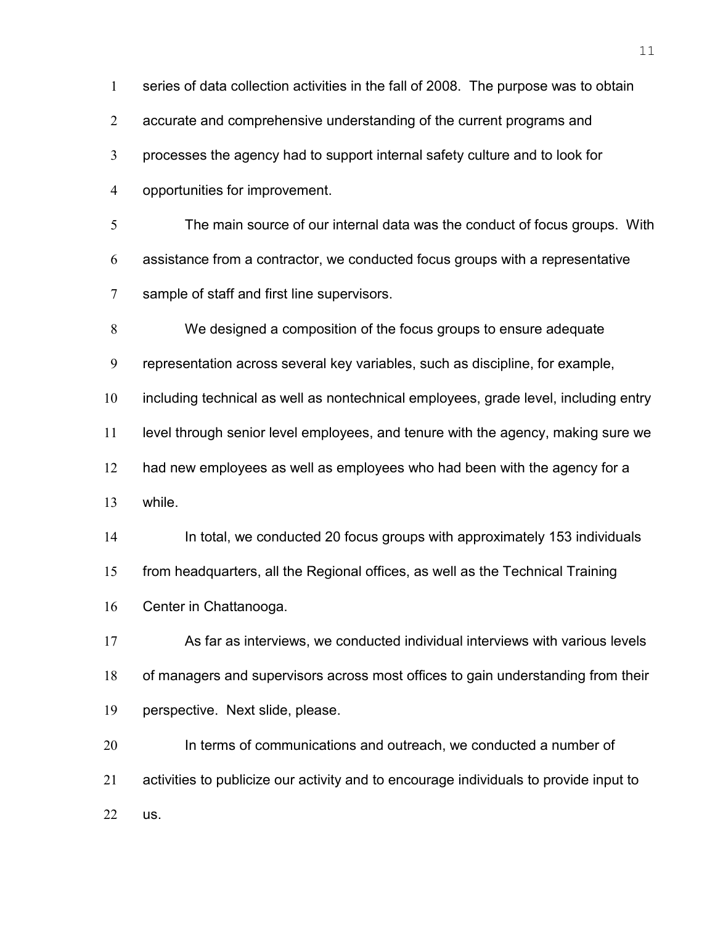series of data collection activities in the fall of 2008. The purpose was to obtain 2 accurate and comprehensive understanding of the current programs and processes the agency had to support internal safety culture and to look for opportunities for improvement. The main source of our internal data was the conduct of focus groups. With assistance from a contractor, we conducted focus groups with a representative sample of staff and first line supervisors. We designed a composition of the focus groups to ensure adequate representation across several key variables, such as discipline, for example, including technical as well as nontechnical employees, grade level, including entry level through senior level employees, and tenure with the agency, making sure we 12 had new employees as well as employees who had been with the agency for a while. In total, we conducted 20 focus groups with approximately 153 individuals from headquarters, all the Regional offices, as well as the Technical Training Center in Chattanooga. As far as interviews, we conducted individual interviews with various levels of managers and supervisors across most offices to gain understanding from their perspective. Next slide, please. 20 In terms of communications and outreach, we conducted a number of activities to publicize our activity and to encourage individuals to provide input to us.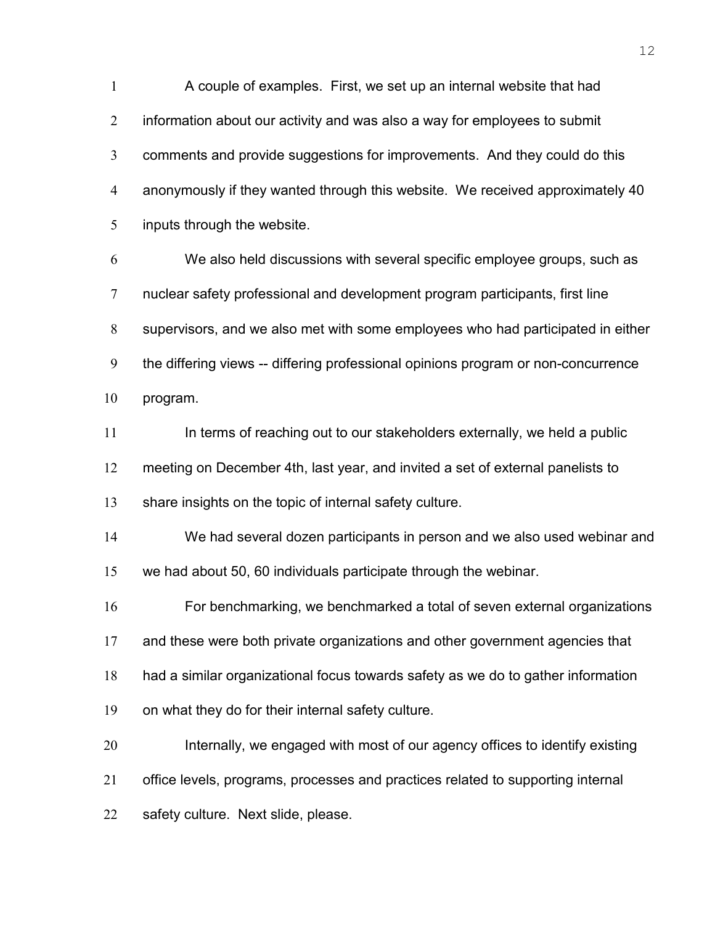A couple of examples. First, we set up an internal website that had information about our activity and was also a way for employees to submit comments and provide suggestions for improvements. And they could do this anonymously if they wanted through this website. We received approximately 40 inputs through the website.

We also held discussions with several specific employee groups, such as nuclear safety professional and development program participants, first line supervisors, and we also met with some employees who had participated in either the differing views -- differing professional opinions program or non-concurrence program.

In terms of reaching out to our stakeholders externally, we held a public meeting on December 4th, last year, and invited a set of external panelists to share insights on the topic of internal safety culture.

We had several dozen participants in person and we also used webinar and we had about 50, 60 individuals participate through the webinar.

For benchmarking, we benchmarked a total of seven external organizations and these were both private organizations and other government agencies that had a similar organizational focus towards safety as we do to gather information

on what they do for their internal safety culture.

Internally, we engaged with most of our agency offices to identify existing office levels, programs, processes and practices related to supporting internal safety culture. Next slide, please.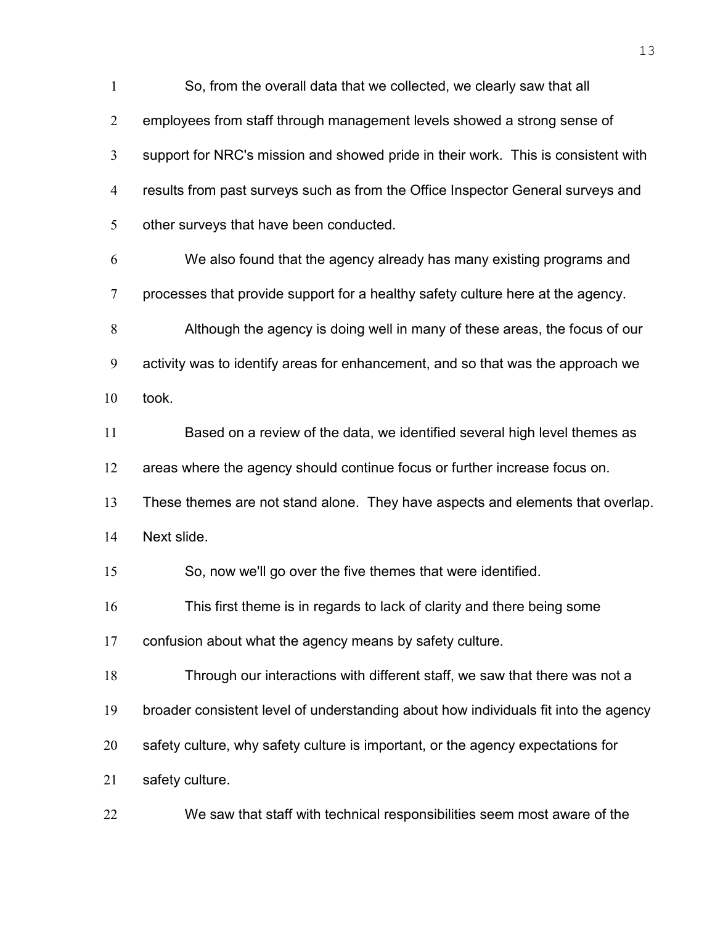So, from the overall data that we collected, we clearly saw that all employees from staff through management levels showed a strong sense of support for NRC's mission and showed pride in their work. This is consistent with results from past surveys such as from the Office Inspector General surveys and other surveys that have been conducted. We also found that the agency already has many existing programs and processes that provide support for a healthy safety culture here at the agency. Although the agency is doing well in many of these areas, the focus of our activity was to identify areas for enhancement, and so that was the approach we took. Based on a review of the data, we identified several high level themes as areas where the agency should continue focus or further increase focus on. These themes are not stand alone. They have aspects and elements that overlap. Next slide. So, now we'll go over the five themes that were identified. This first theme is in regards to lack of clarity and there being some confusion about what the agency means by safety culture. Through our interactions with different staff, we saw that there was not a broader consistent level of understanding about how individuals fit into the agency 20 safety culture, why safety culture is important, or the agency expectations for safety culture. We saw that staff with technical responsibilities seem most aware of the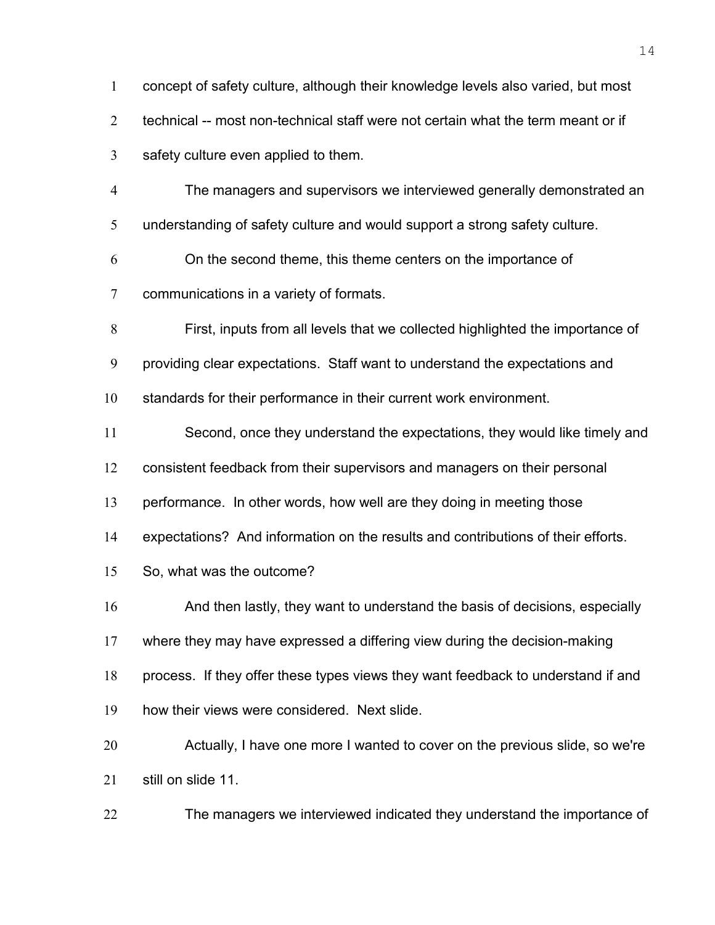| $\mathbf{1}$   | concept of safety culture, although their knowledge levels also varied, but most |
|----------------|----------------------------------------------------------------------------------|
| $\overline{2}$ | technical -- most non-technical staff were not certain what the term meant or if |
| 3              | safety culture even applied to them.                                             |
| $\overline{4}$ | The managers and supervisors we interviewed generally demonstrated an            |
| 5              | understanding of safety culture and would support a strong safety culture.       |
| 6              | On the second theme, this theme centers on the importance of                     |
| $\overline{7}$ | communications in a variety of formats.                                          |
| 8              | First, inputs from all levels that we collected highlighted the importance of    |
| 9              | providing clear expectations. Staff want to understand the expectations and      |
| 10             | standards for their performance in their current work environment.               |
| 11             | Second, once they understand the expectations, they would like timely and        |
| 12             | consistent feedback from their supervisors and managers on their personal        |
| 13             | performance. In other words, how well are they doing in meeting those            |
| 14             | expectations? And information on the results and contributions of their efforts. |
| 15             | So, what was the outcome?                                                        |
| 16             | And then lastly, they want to understand the basis of decisions, especially      |
| 17             | where they may have expressed a differing view during the decision-making        |
| 18             | process. If they offer these types views they want feedback to understand if and |
| 19             | how their views were considered. Next slide.                                     |
| 20             | Actually, I have one more I wanted to cover on the previous slide, so we're      |
| 21             | still on slide 11.                                                               |
| 22             | The managers we interviewed indicated they understand the importance of          |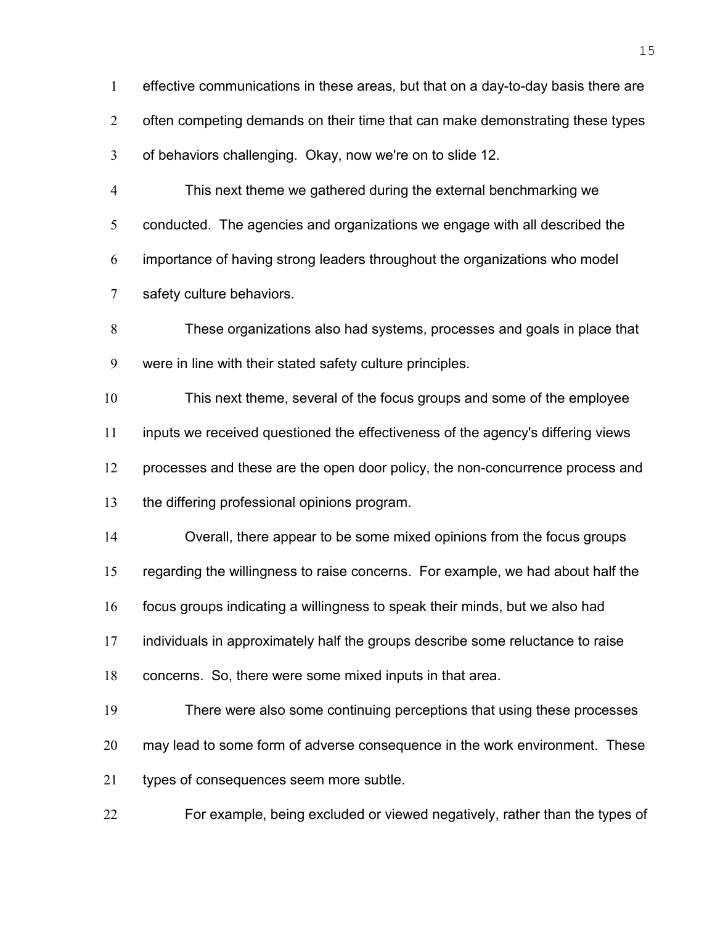effective communications in these areas, but that on a day-to-day basis there are 2 often competing demands on their time that can make demonstrating these types of behaviors challenging. Okay, now we're on to slide 12. This next theme we gathered during the external benchmarking we

conducted. The agencies and organizations we engage with all described the importance of having strong leaders throughout the organizations who model safety culture behaviors.

These organizations also had systems, processes and goals in place that were in line with their stated safety culture principles.

This next theme, several of the focus groups and some of the employee inputs we received questioned the effectiveness of the agency's differing views processes and these are the open door policy, the non-concurrence process and the differing professional opinions program.

Overall, there appear to be some mixed opinions from the focus groups regarding the willingness to raise concerns. For example, we had about half the focus groups indicating a willingness to speak their minds, but we also had individuals in approximately half the groups describe some reluctance to raise concerns. So, there were some mixed inputs in that area.

There were also some continuing perceptions that using these processes may lead to some form of adverse consequence in the work environment. These types of consequences seem more subtle.

For example, being excluded or viewed negatively, rather than the types of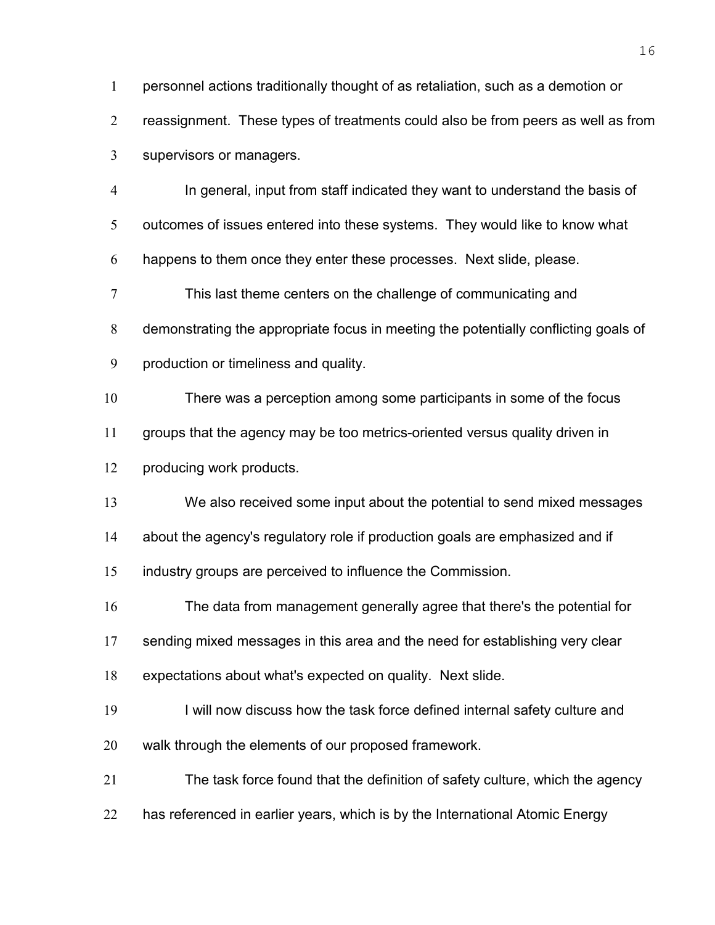personnel actions traditionally thought of as retaliation, such as a demotion or reassignment. These types of treatments could also be from peers as well as from supervisors or managers. In general, input from staff indicated they want to understand the basis of outcomes of issues entered into these systems. They would like to know what happens to them once they enter these processes. Next slide, please. This last theme centers on the challenge of communicating and demonstrating the appropriate focus in meeting the potentially conflicting goals of production or timeliness and quality. There was a perception among some participants in some of the focus groups that the agency may be too metrics-oriented versus quality driven in producing work products. We also received some input about the potential to send mixed messages about the agency's regulatory role if production goals are emphasized and if industry groups are perceived to influence the Commission. The data from management generally agree that there's the potential for 17 sending mixed messages in this area and the need for establishing very clear expectations about what's expected on quality. Next slide. 19 I will now discuss how the task force defined internal safety culture and walk through the elements of our proposed framework. The task force found that the definition of safety culture, which the agency 22 has referenced in earlier years, which is by the International Atomic Energy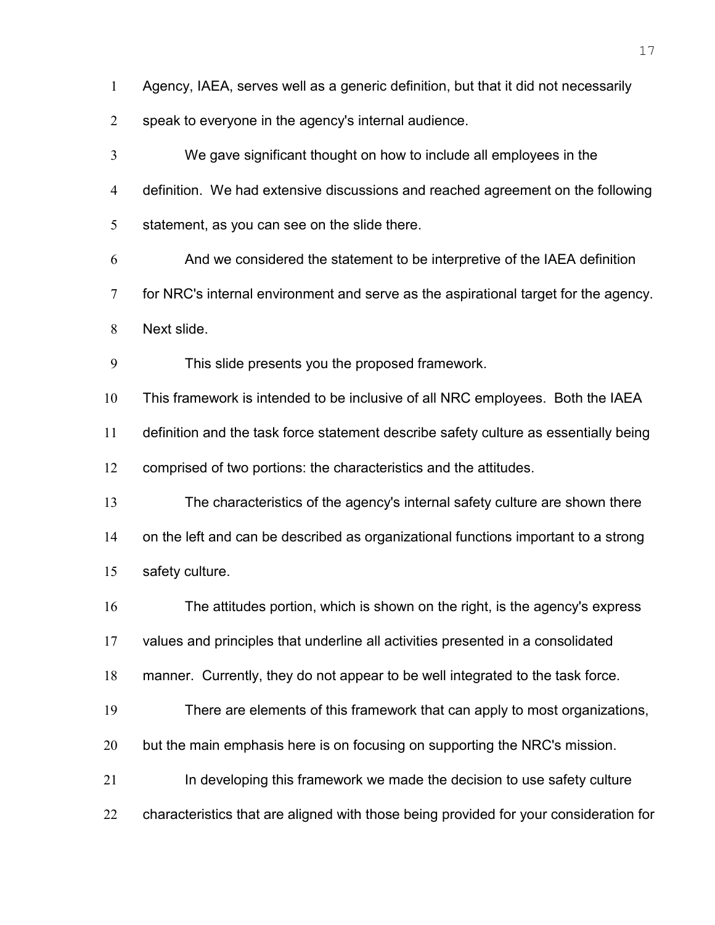Agency, IAEA, serves well as a generic definition, but that it did not necessarily

speak to everyone in the agency's internal audience.

We gave significant thought on how to include all employees in the definition. We had extensive discussions and reached agreement on the following 5 statement, as you can see on the slide there.

And we considered the statement to be interpretive of the IAEA definition for NRC's internal environment and serve as the aspirational target for the agency.

Next slide.

This slide presents you the proposed framework.

This framework is intended to be inclusive of all NRC employees. Both the IAEA definition and the task force statement describe safety culture as essentially being comprised of two portions: the characteristics and the attitudes.

The characteristics of the agency's internal safety culture are shown there on the left and can be described as organizational functions important to a strong safety culture.

The attitudes portion, which is shown on the right, is the agency's express

values and principles that underline all activities presented in a consolidated

manner. Currently, they do not appear to be well integrated to the task force.

There are elements of this framework that can apply to most organizations,

but the main emphasis here is on focusing on supporting the NRC's mission.

In developing this framework we made the decision to use safety culture

22 characteristics that are aligned with those being provided for your consideration for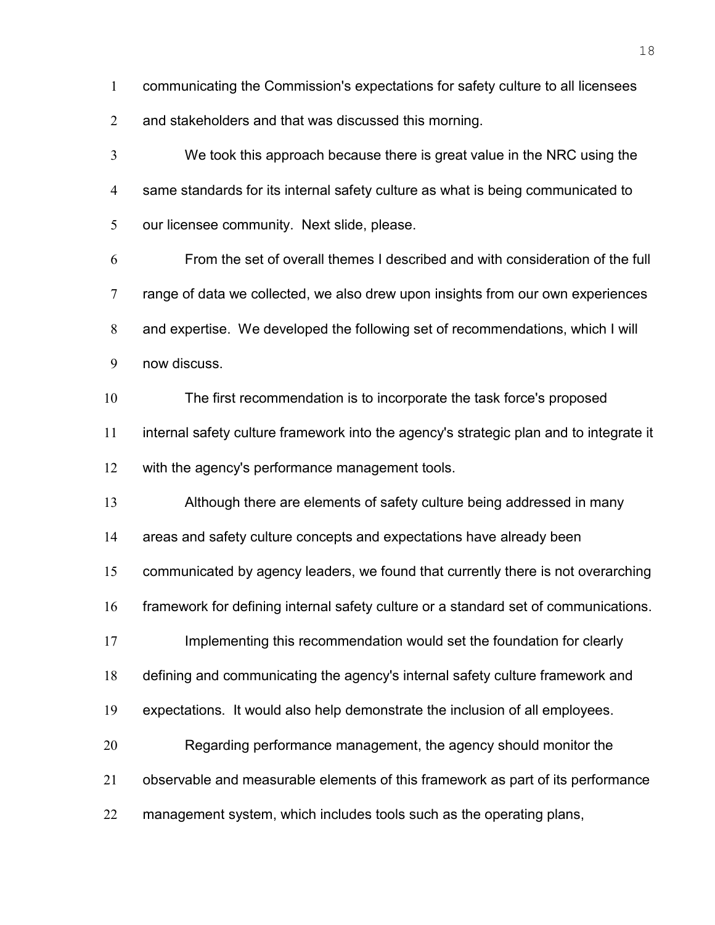communicating the Commission's expectations for safety culture to all licensees

and stakeholders and that was discussed this morning.

We took this approach because there is great value in the NRC using the same standards for its internal safety culture as what is being communicated to our licensee community. Next slide, please.

From the set of overall themes I described and with consideration of the full range of data we collected, we also drew upon insights from our own experiences and expertise. We developed the following set of recommendations, which I will now discuss.

The first recommendation is to incorporate the task force's proposed internal safety culture framework into the agency's strategic plan and to integrate it with the agency's performance management tools.

Although there are elements of safety culture being addressed in many

areas and safety culture concepts and expectations have already been

communicated by agency leaders, we found that currently there is not overarching

framework for defining internal safety culture or a standard set of communications.

17 Implementing this recommendation would set the foundation for clearly

defining and communicating the agency's internal safety culture framework and

expectations. It would also help demonstrate the inclusion of all employees.

Regarding performance management, the agency should monitor the

observable and measurable elements of this framework as part of its performance

management system, which includes tools such as the operating plans,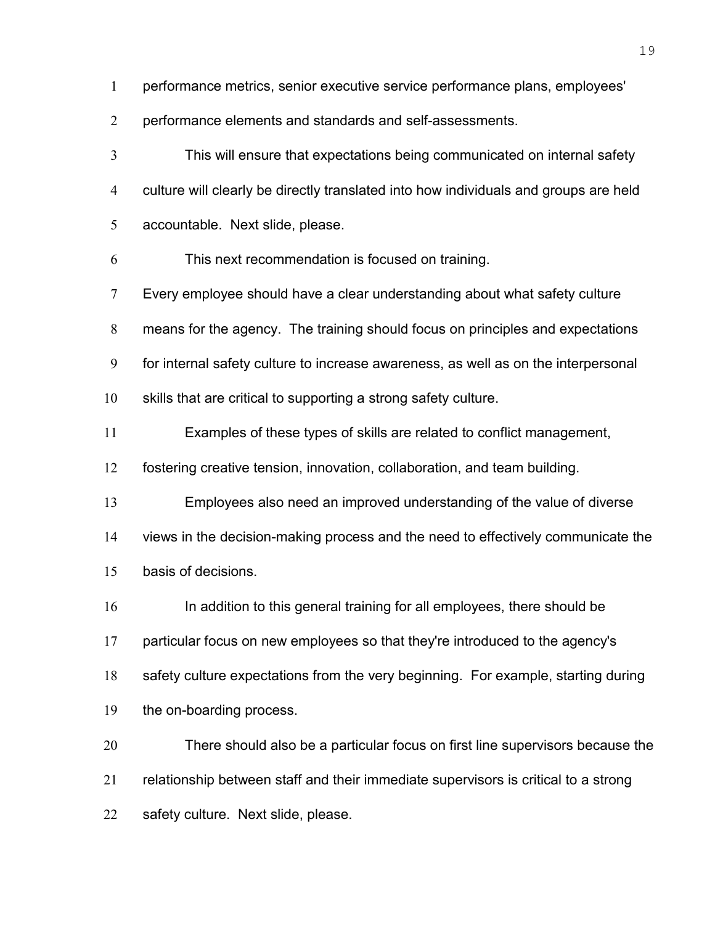performance metrics, senior executive service performance plans, employees'

performance elements and standards and self-assessments.

This will ensure that expectations being communicated on internal safety culture will clearly be directly translated into how individuals and groups are held accountable. Next slide, please.

This next recommendation is focused on training.

Every employee should have a clear understanding about what safety culture

means for the agency. The training should focus on principles and expectations

for internal safety culture to increase awareness, as well as on the interpersonal

skills that are critical to supporting a strong safety culture.

Examples of these types of skills are related to conflict management,

fostering creative tension, innovation, collaboration, and team building.

Employees also need an improved understanding of the value of diverse

views in the decision-making process and the need to effectively communicate the

basis of decisions.

In addition to this general training for all employees, there should be

particular focus on new employees so that they're introduced to the agency's

safety culture expectations from the very beginning. For example, starting during

the on-boarding process.

There should also be a particular focus on first line supervisors because the relationship between staff and their immediate supervisors is critical to a strong safety culture. Next slide, please.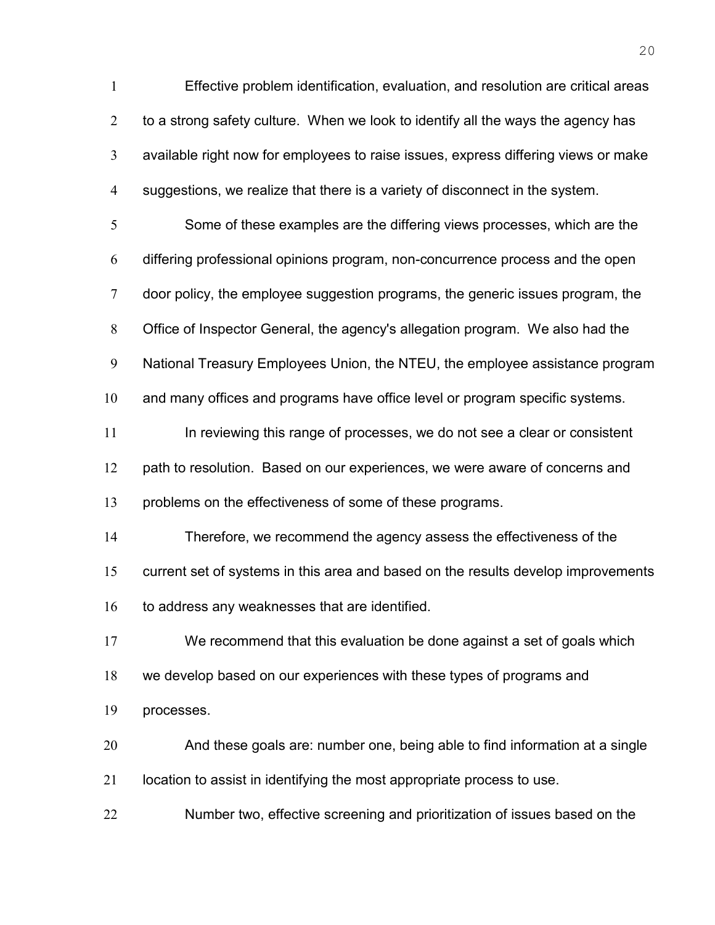Effective problem identification, evaluation, and resolution are critical areas 2 to a strong safety culture. When we look to identify all the ways the agency has available right now for employees to raise issues, express differing views or make suggestions, we realize that there is a variety of disconnect in the system. Some of these examples are the differing views processes, which are the differing professional opinions program, non-concurrence process and the open door policy, the employee suggestion programs, the generic issues program, the Office of Inspector General, the agency's allegation program. We also had the National Treasury Employees Union, the NTEU, the employee assistance program 10 and many offices and programs have office level or program specific systems. In reviewing this range of processes, we do not see a clear or consistent 12 path to resolution. Based on our experiences, we were aware of concerns and problems on the effectiveness of some of these programs. Therefore, we recommend the agency assess the effectiveness of the current set of systems in this area and based on the results develop improvements 16 to address any weaknesses that are identified. We recommend that this evaluation be done against a set of goals which we develop based on our experiences with these types of programs and processes. And these goals are: number one, being able to find information at a single location to assist in identifying the most appropriate process to use. Number two, effective screening and prioritization of issues based on the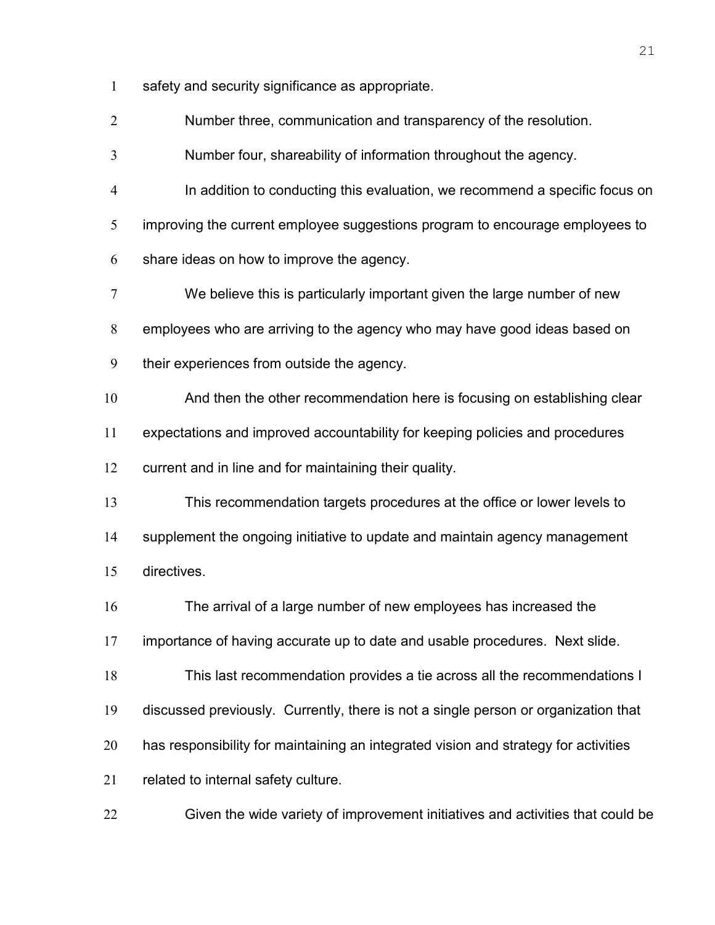safety and security significance as appropriate.

Number three, communication and transparency of the resolution.

Number four, shareability of information throughout the agency.

In addition to conducting this evaluation, we recommend a specific focus on improving the current employee suggestions program to encourage employees to share ideas on how to improve the agency.

We believe this is particularly important given the large number of new

employees who are arriving to the agency who may have good ideas based on

their experiences from outside the agency.

10 And then the other recommendation here is focusing on establishing clear expectations and improved accountability for keeping policies and procedures current and in line and for maintaining their quality.

This recommendation targets procedures at the office or lower levels to supplement the ongoing initiative to update and maintain agency management directives.

The arrival of a large number of new employees has increased the

importance of having accurate up to date and usable procedures. Next slide.

This last recommendation provides a tie across all the recommendations I

discussed previously. Currently, there is not a single person or organization that

has responsibility for maintaining an integrated vision and strategy for activities

related to internal safety culture.

Given the wide variety of improvement initiatives and activities that could be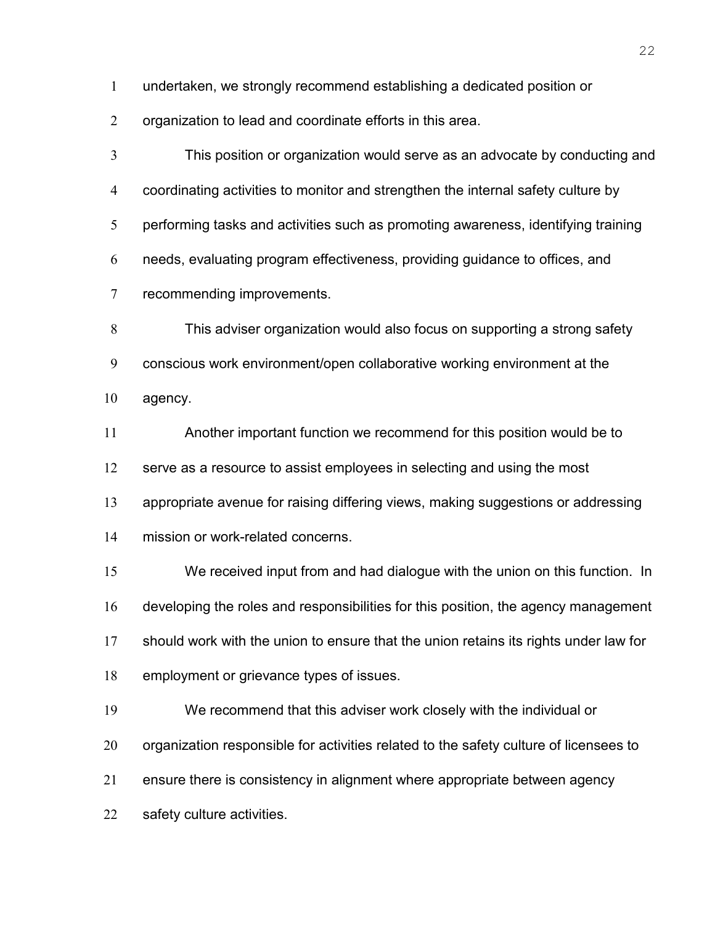undertaken, we strongly recommend establishing a dedicated position or

organization to lead and coordinate efforts in this area.

This position or organization would serve as an advocate by conducting and coordinating activities to monitor and strengthen the internal safety culture by performing tasks and activities such as promoting awareness, identifying training needs, evaluating program effectiveness, providing guidance to offices, and recommending improvements.

This adviser organization would also focus on supporting a strong safety conscious work environment/open collaborative working environment at the agency.

Another important function we recommend for this position would be to

12 serve as a resource to assist employees in selecting and using the most

appropriate avenue for raising differing views, making suggestions or addressing

mission or work-related concerns.

We received input from and had dialogue with the union on this function. In developing the roles and responsibilities for this position, the agency management should work with the union to ensure that the union retains its rights under law for employment or grievance types of issues.

We recommend that this adviser work closely with the individual or

20 organization responsible for activities related to the safety culture of licensees to

ensure there is consistency in alignment where appropriate between agency

safety culture activities.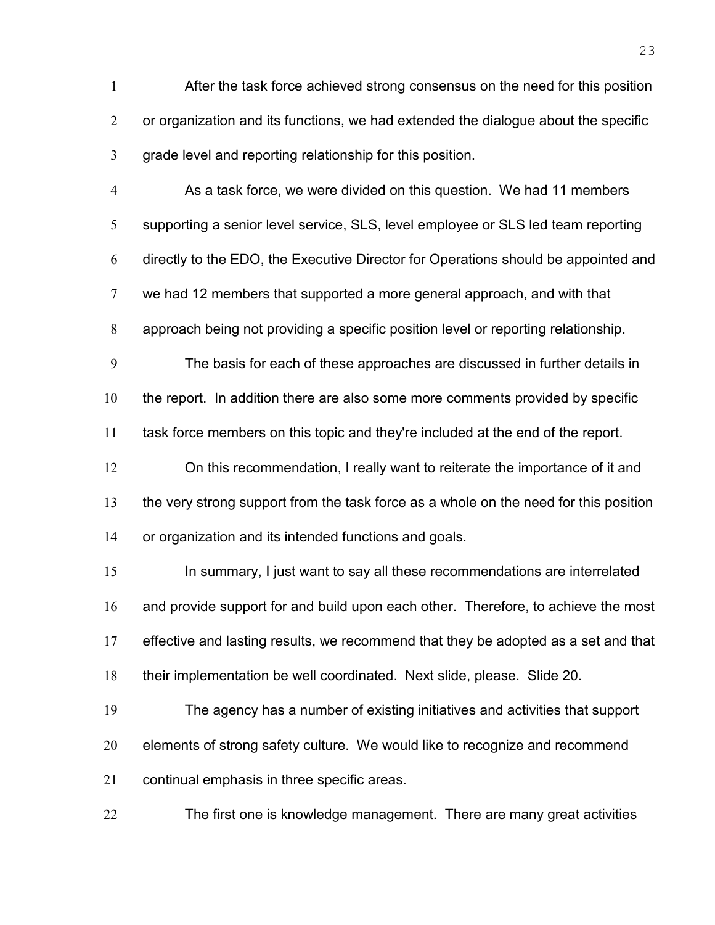After the task force achieved strong consensus on the need for this position 2 or organization and its functions, we had extended the dialogue about the specific grade level and reporting relationship for this position.

As a task force, we were divided on this question. We had 11 members supporting a senior level service, SLS, level employee or SLS led team reporting directly to the EDO, the Executive Director for Operations should be appointed and we had 12 members that supported a more general approach, and with that approach being not providing a specific position level or reporting relationship. The basis for each of these approaches are discussed in further details in 10 the report. In addition there are also some more comments provided by specific task force members on this topic and they're included at the end of the report. On this recommendation, I really want to reiterate the importance of it and the very strong support from the task force as a whole on the need for this position or organization and its intended functions and goals.

In summary, I just want to say all these recommendations are interrelated and provide support for and build upon each other. Therefore, to achieve the most effective and lasting results, we recommend that they be adopted as a set and that their implementation be well coordinated. Next slide, please. Slide 20.

The agency has a number of existing initiatives and activities that support elements of strong safety culture. We would like to recognize and recommend continual emphasis in three specific areas.

The first one is knowledge management. There are many great activities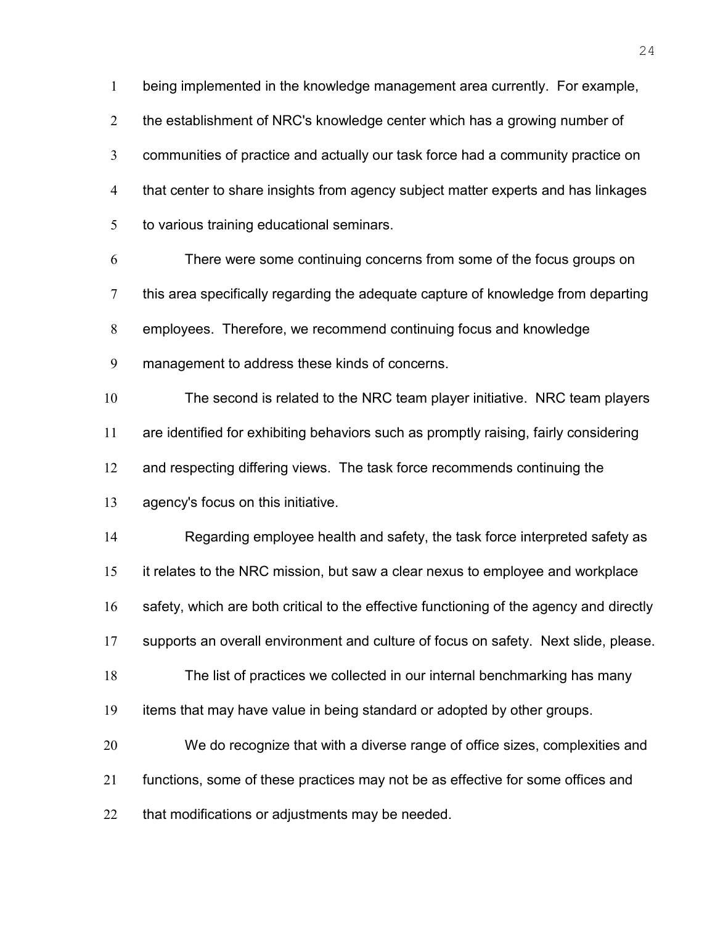being implemented in the knowledge management area currently. For example, 2 the establishment of NRC's knowledge center which has a growing number of communities of practice and actually our task force had a community practice on that center to share insights from agency subject matter experts and has linkages to various training educational seminars.

There were some continuing concerns from some of the focus groups on this area specifically regarding the adequate capture of knowledge from departing employees. Therefore, we recommend continuing focus and knowledge management to address these kinds of concerns.

The second is related to the NRC team player initiative. NRC team players are identified for exhibiting behaviors such as promptly raising, fairly considering 12 and respecting differing views. The task force recommends continuing the agency's focus on this initiative.

Regarding employee health and safety, the task force interpreted safety as it relates to the NRC mission, but saw a clear nexus to employee and workplace safety, which are both critical to the effective functioning of the agency and directly supports an overall environment and culture of focus on safety. Next slide, please. The list of practices we collected in our internal benchmarking has many items that may have value in being standard or adopted by other groups. We do recognize that with a diverse range of office sizes, complexities and functions, some of these practices may not be as effective for some offices and

22 that modifications or adjustments may be needed.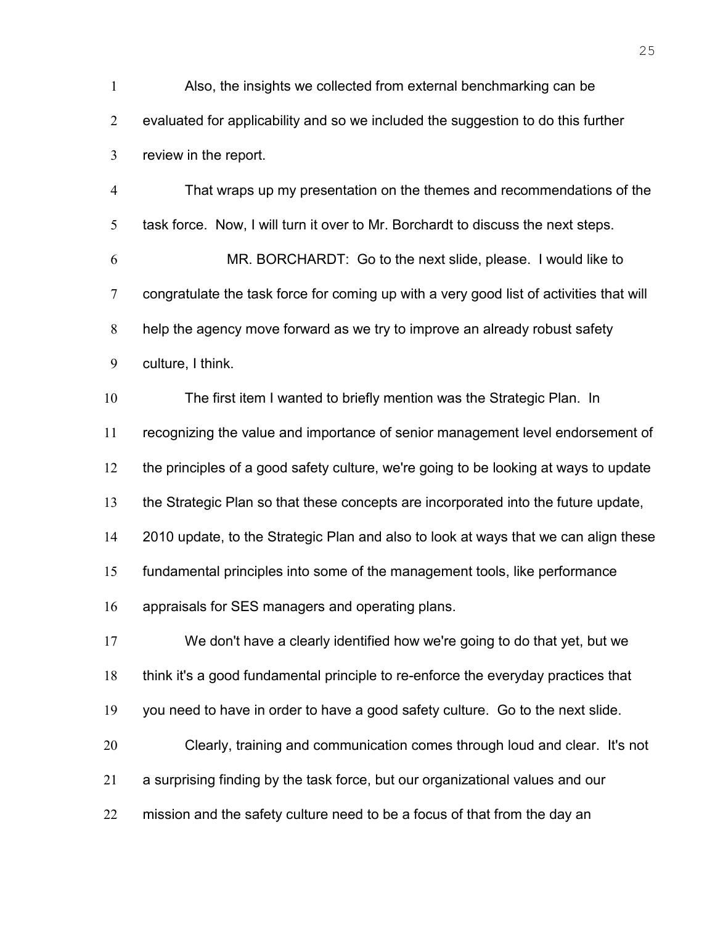Also, the insights we collected from external benchmarking can be evaluated for applicability and so we included the suggestion to do this further review in the report. That wraps up my presentation on the themes and recommendations of the task force. Now, I will turn it over to Mr. Borchardt to discuss the next steps. MR. BORCHARDT: Go to the next slide, please. I would like to congratulate the task force for coming up with a very good list of activities that will help the agency move forward as we try to improve an already robust safety culture, I think. The first item I wanted to briefly mention was the Strategic Plan. In recognizing the value and importance of senior management level endorsement of the principles of a good safety culture, we're going to be looking at ways to update the Strategic Plan so that these concepts are incorporated into the future update, 2010 update, to the Strategic Plan and also to look at ways that we can align these fundamental principles into some of the management tools, like performance appraisals for SES managers and operating plans. We don't have a clearly identified how we're going to do that yet, but we think it's a good fundamental principle to re-enforce the everyday practices that you need to have in order to have a good safety culture. Go to the next slide. Clearly, training and communication comes through loud and clear. It's not a surprising finding by the task force, but our organizational values and our 22 mission and the safety culture need to be a focus of that from the day an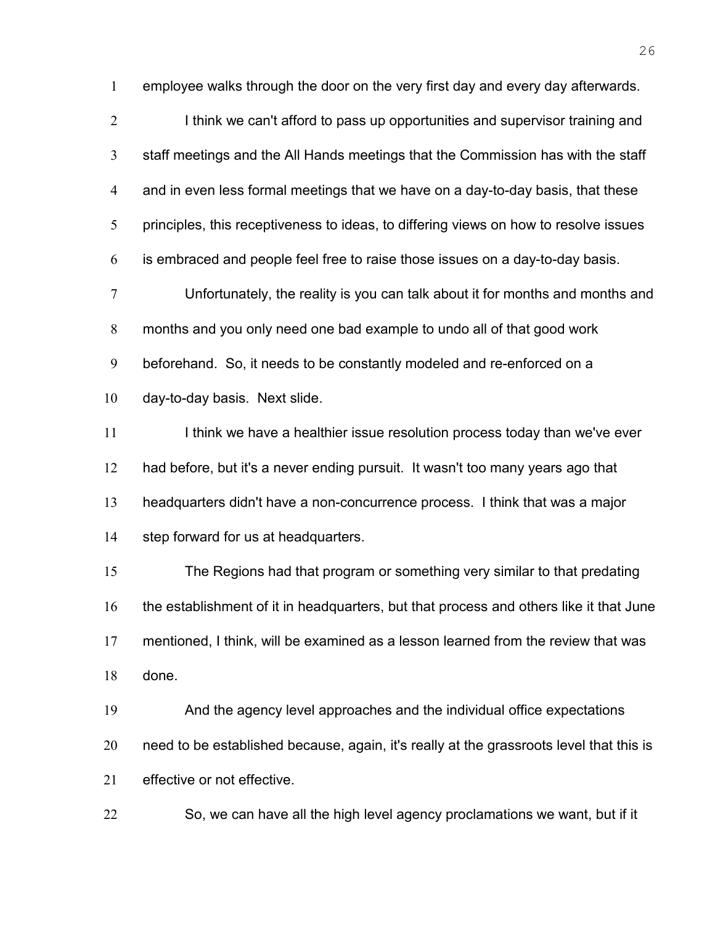employee walks through the door on the very first day and every day afterwards. 2 I think we can't afford to pass up opportunities and supervisor training and staff meetings and the All Hands meetings that the Commission has with the staff and in even less formal meetings that we have on a day-to-day basis, that these 5 principles, this receptiveness to ideas, to differing views on how to resolve issues is embraced and people feel free to raise those issues on a day-to-day basis. Unfortunately, the reality is you can talk about it for months and months and months and you only need one bad example to undo all of that good work beforehand. So, it needs to be constantly modeled and re-enforced on a day-to-day basis. Next slide. 11 I think we have a healthier issue resolution process today than we've ever had before, but it's a never ending pursuit. It wasn't too many years ago that

headquarters didn't have a non-concurrence process. I think that was a major step forward for us at headquarters.

The Regions had that program or something very similar to that predating the establishment of it in headquarters, but that process and others like it that June mentioned, I think, will be examined as a lesson learned from the review that was done.

And the agency level approaches and the individual office expectations need to be established because, again, it's really at the grassroots level that this is effective or not effective.

So, we can have all the high level agency proclamations we want, but if it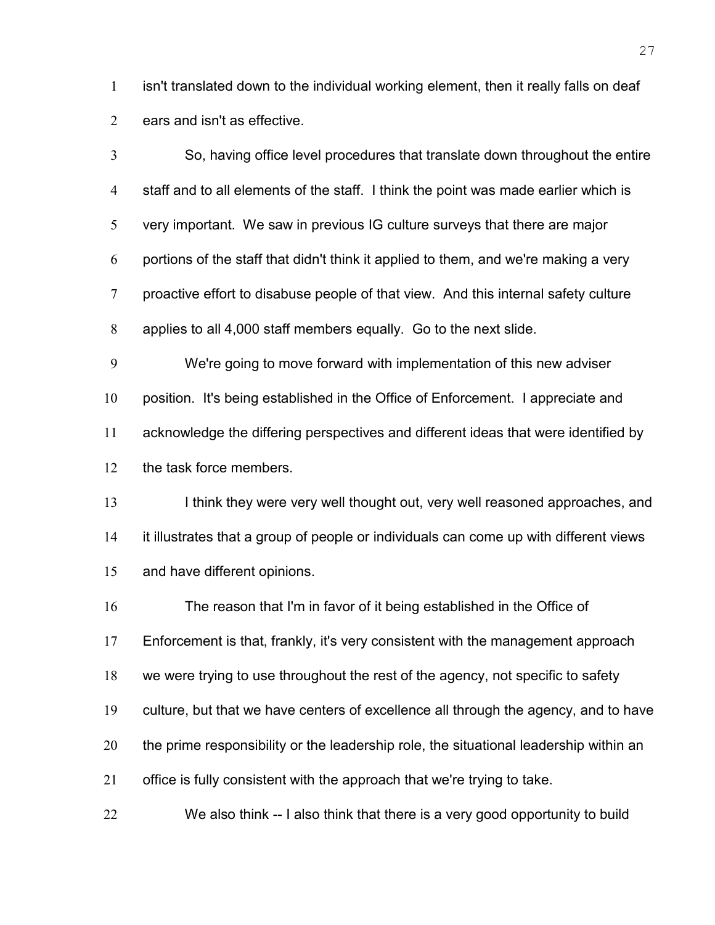isn't translated down to the individual working element, then it really falls on deaf ears and isn't as effective.

So, having office level procedures that translate down throughout the entire staff and to all elements of the staff. I think the point was made earlier which is very important. We saw in previous IG culture surveys that there are major portions of the staff that didn't think it applied to them, and we're making a very proactive effort to disabuse people of that view. And this internal safety culture applies to all 4,000 staff members equally. Go to the next slide.

We're going to move forward with implementation of this new adviser position. It's being established in the Office of Enforcement. I appreciate and acknowledge the differing perspectives and different ideas that were identified by the task force members.

13 I think they were very well thought out, very well reasoned approaches, and it illustrates that a group of people or individuals can come up with different views and have different opinions.

The reason that I'm in favor of it being established in the Office of Enforcement is that, frankly, it's very consistent with the management approach we were trying to use throughout the rest of the agency, not specific to safety culture, but that we have centers of excellence all through the agency, and to have 20 the prime responsibility or the leadership role, the situational leadership within an office is fully consistent with the approach that we're trying to take.

We also think -- I also think that there is a very good opportunity to build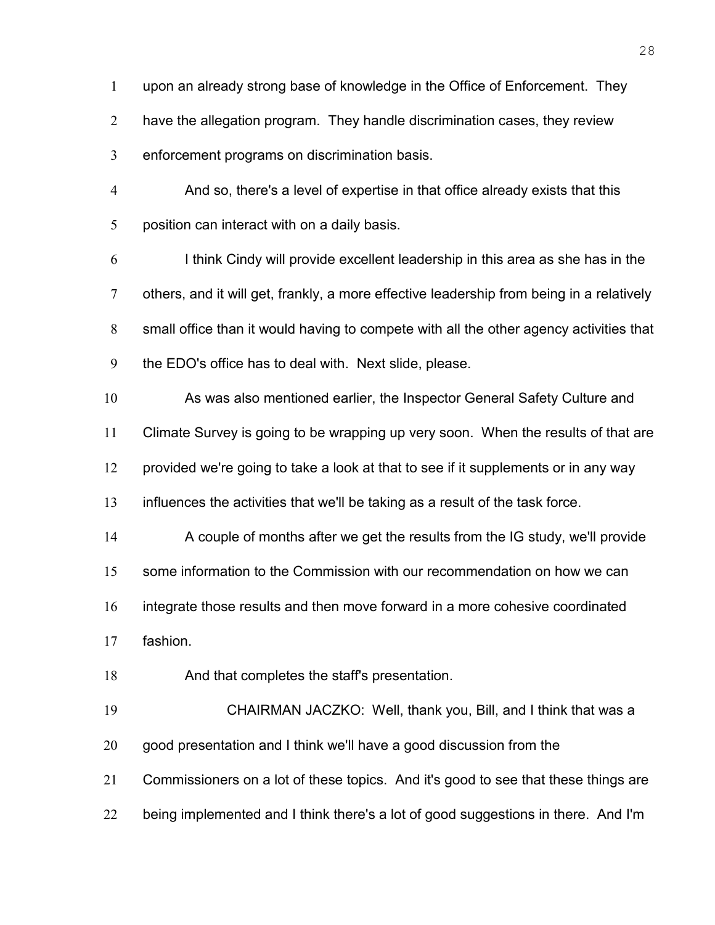have the allegation program. They handle discrimination cases, they review enforcement programs on discrimination basis. And so, there's a level of expertise in that office already exists that this position can interact with on a daily basis. I think Cindy will provide excellent leadership in this area as she has in the others, and it will get, frankly, a more effective leadership from being in a relatively small office than it would having to compete with all the other agency activities that the EDO's office has to deal with. Next slide, please. As was also mentioned earlier, the Inspector General Safety Culture and Climate Survey is going to be wrapping up very soon. When the results of that are provided we're going to take a look at that to see if it supplements or in any way influences the activities that we'll be taking as a result of the task force. A couple of months after we get the results from the IG study, we'll provide 15 some information to the Commission with our recommendation on how we can integrate those results and then move forward in a more cohesive coordinated fashion. And that completes the staff's presentation. CHAIRMAN JACZKO: Well, thank you, Bill, and I think that was a good presentation and I think we'll have a good discussion from the Commissioners on a lot of these topics. And it's good to see that these things are 22 being implemented and I think there's a lot of good suggestions in there. And I'm

upon an already strong base of knowledge in the Office of Enforcement. They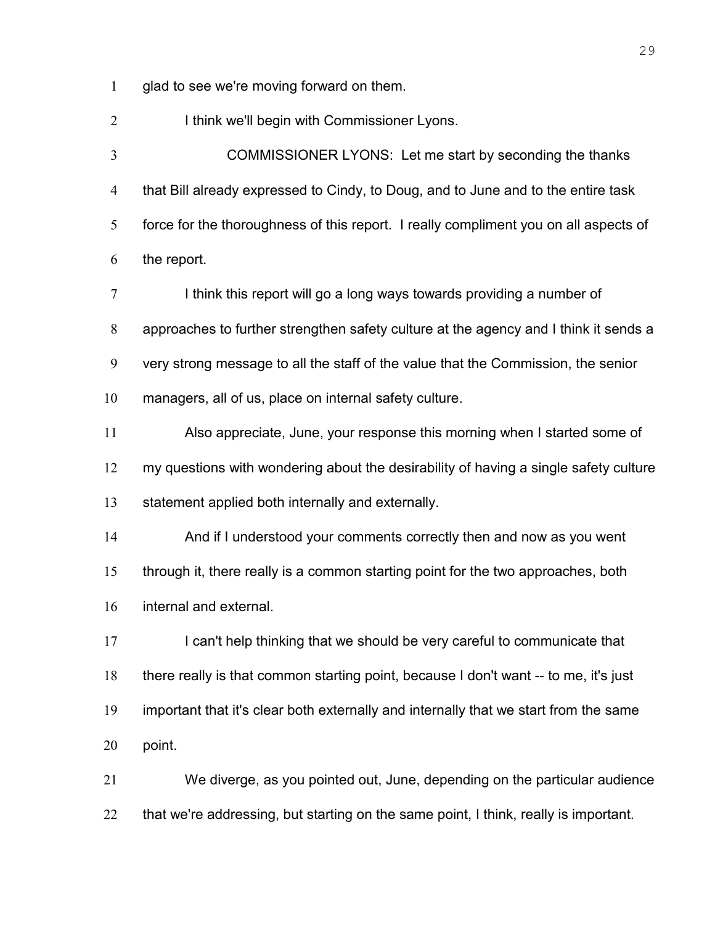glad to see we're moving forward on them.

2 I think we'll begin with Commissioner Lyons.

COMMISSIONER LYONS: Let me start by seconding the thanks that Bill already expressed to Cindy, to Doug, and to June and to the entire task force for the thoroughness of this report. I really compliment you on all aspects of the report.

7 I think this report will go a long ways towards providing a number of approaches to further strengthen safety culture at the agency and I think it sends a very strong message to all the staff of the value that the Commission, the senior managers, all of us, place on internal safety culture.

Also appreciate, June, your response this morning when I started some of my questions with wondering about the desirability of having a single safety culture statement applied both internally and externally.

And if I understood your comments correctly then and now as you went through it, there really is a common starting point for the two approaches, both internal and external.

17 I can't help thinking that we should be very careful to communicate that there really is that common starting point, because I don't want -- to me, it's just important that it's clear both externally and internally that we start from the same point.

We diverge, as you pointed out, June, depending on the particular audience 22 that we're addressing, but starting on the same point, I think, really is important.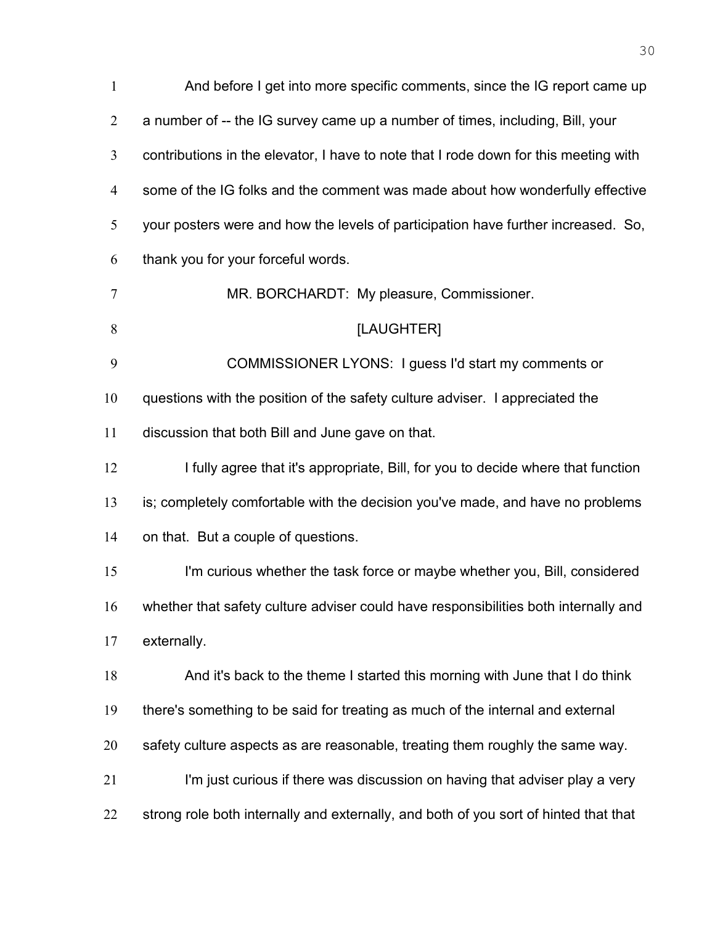| $\mathbf{1}$   | And before I get into more specific comments, since the IG report came up            |
|----------------|--------------------------------------------------------------------------------------|
| $\overline{2}$ | a number of -- the IG survey came up a number of times, including, Bill, your        |
| 3              | contributions in the elevator, I have to note that I rode down for this meeting with |
| 4              | some of the IG folks and the comment was made about how wonderfully effective        |
| 5              | your posters were and how the levels of participation have further increased. So,    |
| 6              | thank you for your forceful words.                                                   |
| 7              | MR. BORCHARDT: My pleasure, Commissioner.                                            |
| 8              | [LAUGHTER]                                                                           |
| 9              | COMMISSIONER LYONS: I guess I'd start my comments or                                 |
| 10             | questions with the position of the safety culture adviser. I appreciated the         |
| 11             | discussion that both Bill and June gave on that.                                     |
| 12             | I fully agree that it's appropriate, Bill, for you to decide where that function     |
| 13             | is; completely comfortable with the decision you've made, and have no problems       |
| 14             | on that. But a couple of questions.                                                  |
| 15             | I'm curious whether the task force or maybe whether you, Bill, considered            |
| 16             | whether that safety culture adviser could have responsibilities both internally and  |
| 17             | externally.                                                                          |
| 18             | And it's back to the theme I started this morning with June that I do think          |
| 19             | there's something to be said for treating as much of the internal and external       |
| 20             | safety culture aspects as are reasonable, treating them roughly the same way.        |
| 21             | I'm just curious if there was discussion on having that adviser play a very          |
| 22             | strong role both internally and externally, and both of you sort of hinted that that |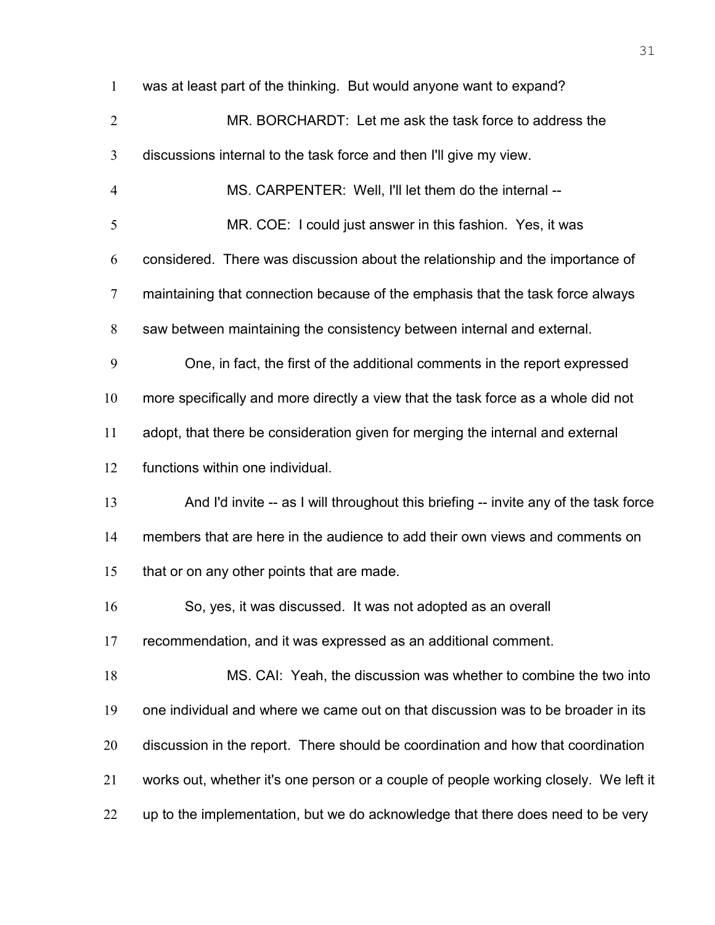| $\mathbf{1}$   | was at least part of the thinking. But would anyone want to expand?                  |
|----------------|--------------------------------------------------------------------------------------|
| $\overline{2}$ | MR. BORCHARDT: Let me ask the task force to address the                              |
| 3              | discussions internal to the task force and then I'll give my view.                   |
| $\overline{4}$ | MS. CARPENTER: Well, I'll let them do the internal --                                |
| 5              | MR. COE: I could just answer in this fashion. Yes, it was                            |
| 6              | considered. There was discussion about the relationship and the importance of        |
| 7              | maintaining that connection because of the emphasis that the task force always       |
| 8              | saw between maintaining the consistency between internal and external.               |
| 9              | One, in fact, the first of the additional comments in the report expressed           |
| 10             | more specifically and more directly a view that the task force as a whole did not    |
| 11             | adopt, that there be consideration given for merging the internal and external       |
| 12             | functions within one individual.                                                     |
| 13             | And I'd invite -- as I will throughout this briefing -- invite any of the task force |
| 14             | members that are here in the audience to add their own views and comments on         |
| 15             | that or on any other points that are made.                                           |
| 16             | So, yes, it was discussed. It was not adopted as an overall                          |
| 17             | recommendation, and it was expressed as an additional comment.                       |
| 18             | MS. CAI: Yeah, the discussion was whether to combine the two into                    |
| 19             | one individual and where we came out on that discussion was to be broader in its     |
| 20             | discussion in the report. There should be coordination and how that coordination     |
| 21             | works out, whether it's one person or a couple of people working closely. We left it |
| 22             | up to the implementation, but we do acknowledge that there does need to be very      |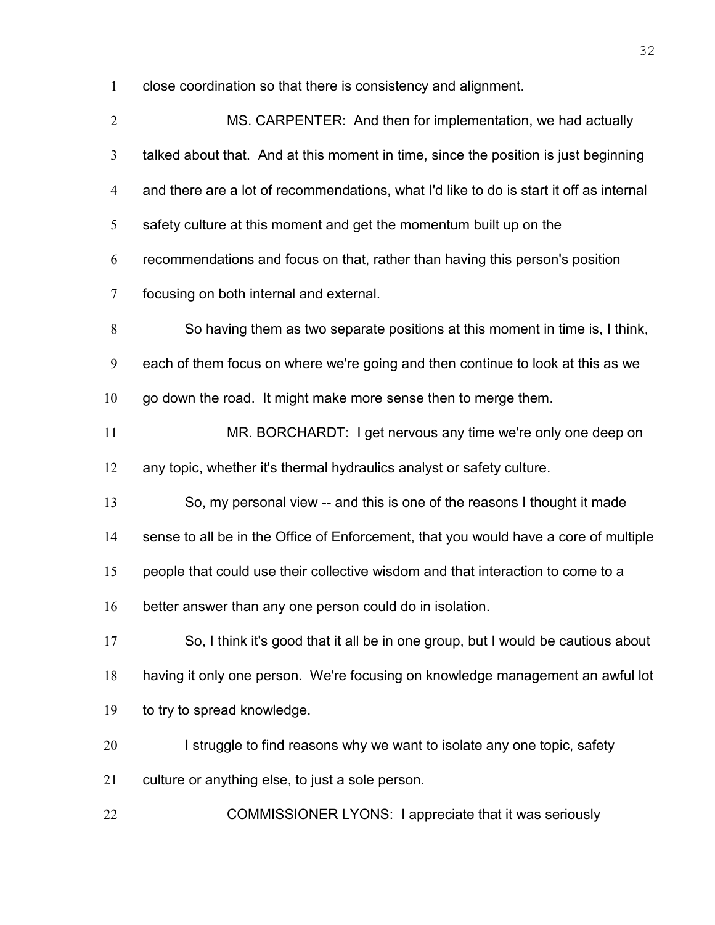close coordination so that there is consistency and alignment.

| $\overline{2}$ | MS. CARPENTER: And then for implementation, we had actually                             |
|----------------|-----------------------------------------------------------------------------------------|
| $\mathfrak{Z}$ | talked about that. And at this moment in time, since the position is just beginning     |
| $\overline{4}$ | and there are a lot of recommendations, what I'd like to do is start it off as internal |
| 5              | safety culture at this moment and get the momentum built up on the                      |
| 6              | recommendations and focus on that, rather than having this person's position            |
| $\overline{7}$ | focusing on both internal and external.                                                 |
| 8              | So having them as two separate positions at this moment in time is, I think,            |
| 9              | each of them focus on where we're going and then continue to look at this as we         |
| 10             | go down the road. It might make more sense then to merge them.                          |
| 11             | MR. BORCHARDT: I get nervous any time we're only one deep on                            |
| 12             | any topic, whether it's thermal hydraulics analyst or safety culture.                   |
| 13             | So, my personal view -- and this is one of the reasons I thought it made                |
| 14             | sense to all be in the Office of Enforcement, that you would have a core of multiple    |
| 15             | people that could use their collective wisdom and that interaction to come to a         |
| 16             | better answer than any one person could do in isolation.                                |
| 17             | So, I think it's good that it all be in one group, but I would be cautious about        |
| 18             | having it only one person. We're focusing on knowledge management an awful lot          |
| 19             | to try to spread knowledge.                                                             |
| 20             | I struggle to find reasons why we want to isolate any one topic, safety                 |
| 21             | culture or anything else, to just a sole person.                                        |
| 22             | COMMISSIONER LYONS: I appreciate that it was seriously                                  |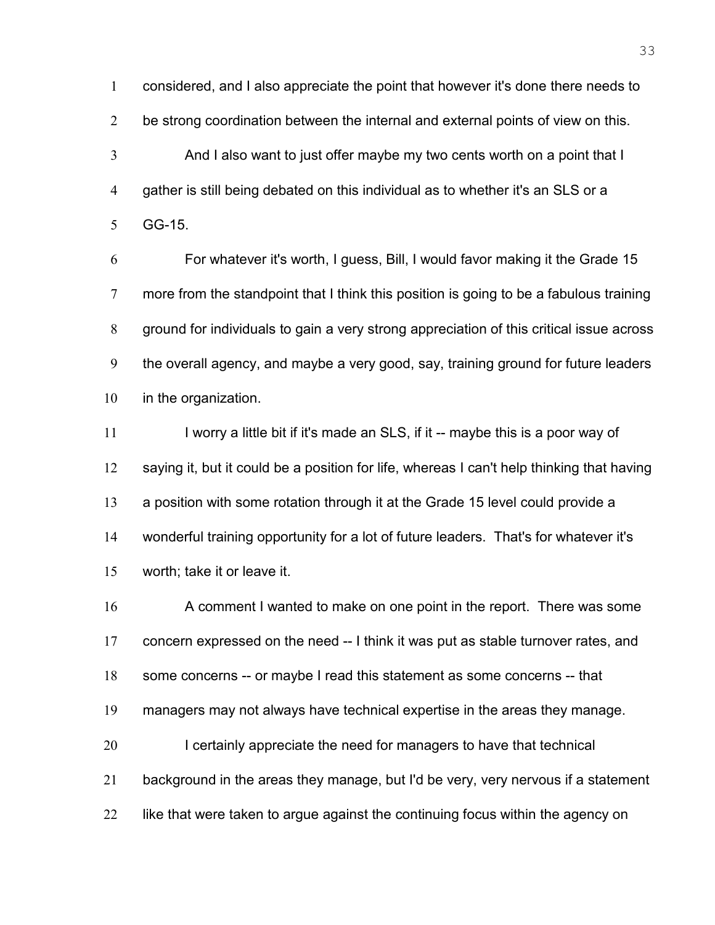considered, and I also appreciate the point that however it's done there needs to 2 be strong coordination between the internal and external points of view on this. And I also want to just offer maybe my two cents worth on a point that I gather is still being debated on this individual as to whether it's an SLS or a GG-15.

For whatever it's worth, I guess, Bill, I would favor making it the Grade 15 more from the standpoint that I think this position is going to be a fabulous training ground for individuals to gain a very strong appreciation of this critical issue across the overall agency, and maybe a very good, say, training ground for future leaders in the organization.

11 I worry a little bit if it's made an SLS, if it -- maybe this is a poor way of 12 saying it, but it could be a position for life, whereas I can't help thinking that having a position with some rotation through it at the Grade 15 level could provide a wonderful training opportunity for a lot of future leaders. That's for whatever it's worth; take it or leave it.

A comment I wanted to make on one point in the report. There was some concern expressed on the need -- I think it was put as stable turnover rates, and some concerns -- or maybe I read this statement as some concerns -- that managers may not always have technical expertise in the areas they manage. 20 I certainly appreciate the need for managers to have that technical background in the areas they manage, but I'd be very, very nervous if a statement 22 like that were taken to argue against the continuing focus within the agency on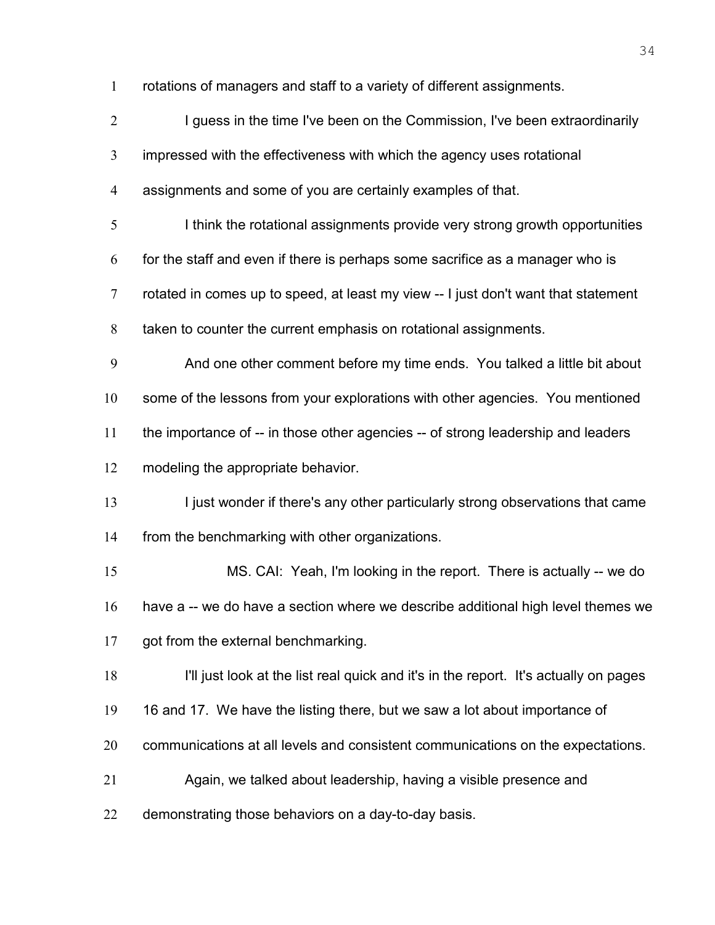rotations of managers and staff to a variety of different assignments.

| $\overline{2}$ | I guess in the time I've been on the Commission, I've been extraordinarily           |
|----------------|--------------------------------------------------------------------------------------|
| 3              | impressed with the effectiveness with which the agency uses rotational               |
| $\overline{4}$ | assignments and some of you are certainly examples of that.                          |
| $\mathfrak{S}$ | I think the rotational assignments provide very strong growth opportunities          |
| 6              | for the staff and even if there is perhaps some sacrifice as a manager who is        |
| $\overline{7}$ | rotated in comes up to speed, at least my view -- I just don't want that statement   |
| 8              | taken to counter the current emphasis on rotational assignments.                     |
| 9              | And one other comment before my time ends. You talked a little bit about             |
| 10             | some of the lessons from your explorations with other agencies. You mentioned        |
| 11             | the importance of -- in those other agencies -- of strong leadership and leaders     |
| 12             | modeling the appropriate behavior.                                                   |
| 13             | I just wonder if there's any other particularly strong observations that came        |
| 14             | from the benchmarking with other organizations.                                      |
| 15             | MS. CAI: Yeah, I'm looking in the report. There is actually -- we do                 |
| 16             | have a -- we do have a section where we describe additional high level themes we     |
| 17             | got from the external benchmarking.                                                  |
| 18             | I'll just look at the list real quick and it's in the report. It's actually on pages |
| 19             | 16 and 17. We have the listing there, but we saw a lot about importance of           |
| 20             | communications at all levels and consistent communications on the expectations.      |
| 21             | Again, we talked about leadership, having a visible presence and                     |
| 22             | demonstrating those behaviors on a day-to-day basis.                                 |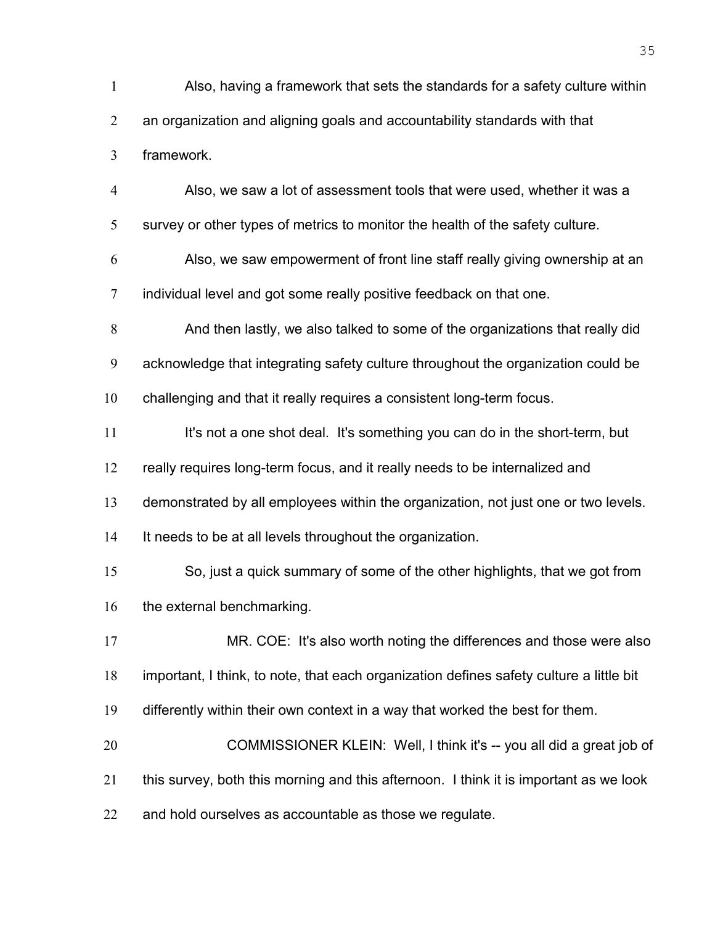Also, having a framework that sets the standards for a safety culture within an organization and aligning goals and accountability standards with that framework. Also, we saw a lot of assessment tools that were used, whether it was a survey or other types of metrics to monitor the health of the safety culture. Also, we saw empowerment of front line staff really giving ownership at an 7 individual level and got some really positive feedback on that one. And then lastly, we also talked to some of the organizations that really did acknowledge that integrating safety culture throughout the organization could be challenging and that it really requires a consistent long-term focus. 11 It's not a one shot deal. It's something you can do in the short-term, but really requires long-term focus, and it really needs to be internalized and demonstrated by all employees within the organization, not just one or two levels. It needs to be at all levels throughout the organization. So, just a quick summary of some of the other highlights, that we got from 16 the external benchmarking. 17 MR. COE: It's also worth noting the differences and those were also important, I think, to note, that each organization defines safety culture a little bit differently within their own context in a way that worked the best for them. 20 COMMISSIONER KLEIN: Well, I think it's -- you all did a great job of this survey, both this morning and this afternoon. I think it is important as we look 22 and hold ourselves as accountable as those we regulate.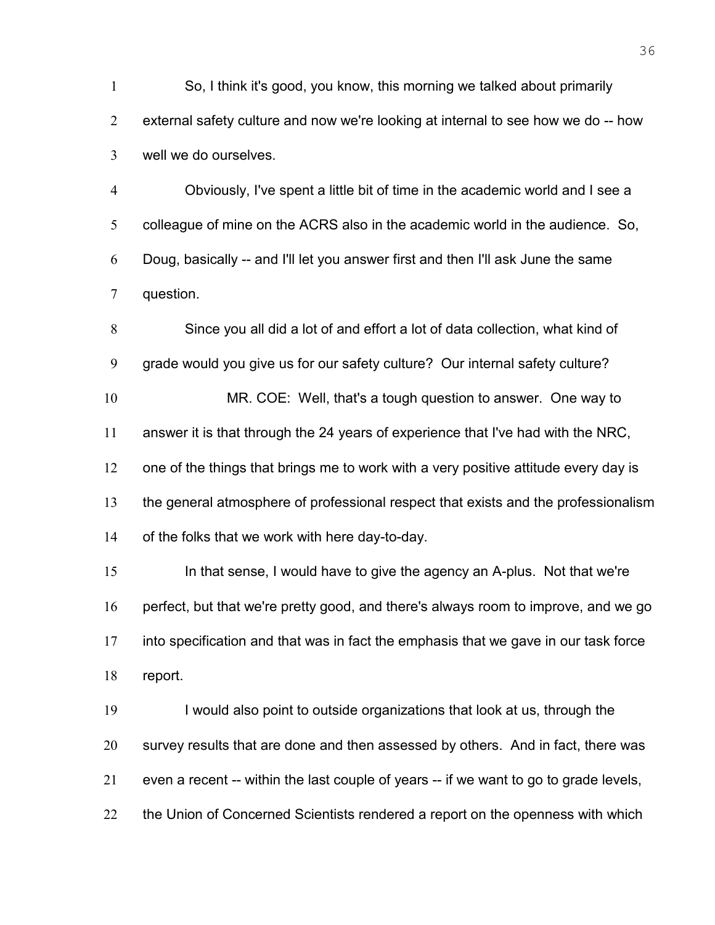So, I think it's good, you know, this morning we talked about primarily external safety culture and now we're looking at internal to see how we do -- how well we do ourselves.

Obviously, I've spent a little bit of time in the academic world and I see a colleague of mine on the ACRS also in the academic world in the audience. So, Doug, basically -- and I'll let you answer first and then I'll ask June the same question.

Since you all did a lot of and effort a lot of data collection, what kind of grade would you give us for our safety culture? Our internal safety culture? MR. COE: Well, that's a tough question to answer. One way to answer it is that through the 24 years of experience that I've had with the NRC, 12 one of the things that brings me to work with a very positive attitude every day is the general atmosphere of professional respect that exists and the professionalism of the folks that we work with here day-to-day. In that sense, I would have to give the agency an A-plus. Not that we're perfect, but that we're pretty good, and there's always room to improve, and we go into specification and that was in fact the emphasis that we gave in our task force

report.

I would also point to outside organizations that look at us, through the survey results that are done and then assessed by others. And in fact, there was even a recent -- within the last couple of years -- if we want to go to grade levels, 22 the Union of Concerned Scientists rendered a report on the openness with which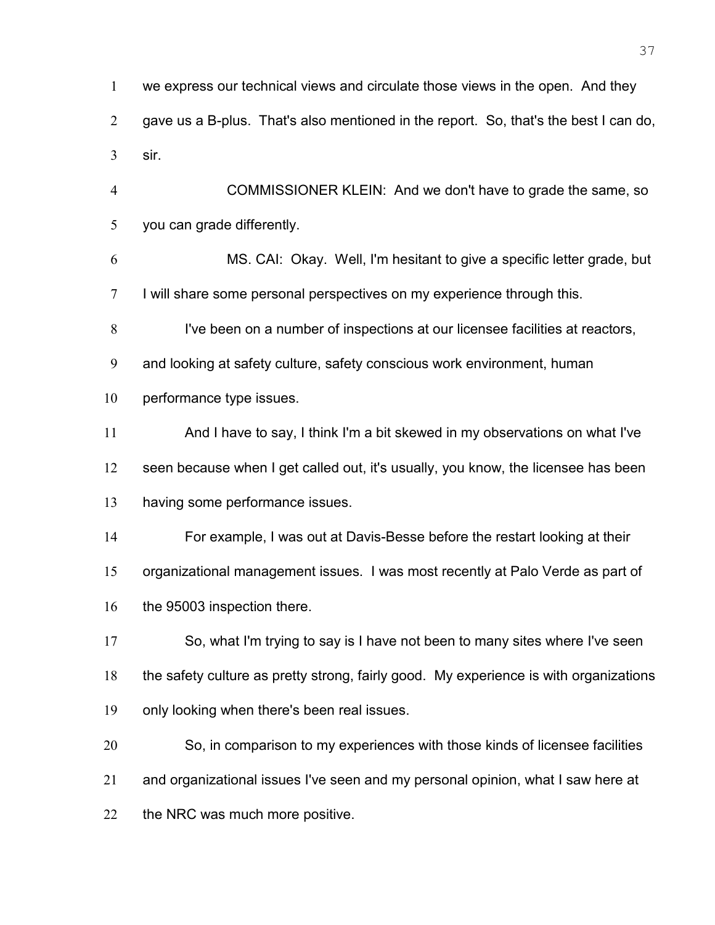we express our technical views and circulate those views in the open. And they gave us a B-plus. That's also mentioned in the report. So, that's the best I can do, sir.

COMMISSIONER KLEIN: And we don't have to grade the same, so you can grade differently.

MS. CAI: Okay. Well, I'm hesitant to give a specific letter grade, but I will share some personal perspectives on my experience through this.

I've been on a number of inspections at our licensee facilities at reactors,

and looking at safety culture, safety conscious work environment, human

performance type issues.

And I have to say, I think I'm a bit skewed in my observations on what I've seen because when I get called out, it's usually, you know, the licensee has been

having some performance issues.

For example, I was out at Davis-Besse before the restart looking at their

organizational management issues. I was most recently at Palo Verde as part of

16 the 95003 inspection there.

So, what I'm trying to say is I have not been to many sites where I've seen the safety culture as pretty strong, fairly good. My experience is with organizations only looking when there's been real issues.

So, in comparison to my experiences with those kinds of licensee facilities and organizational issues I've seen and my personal opinion, what I saw here at 22 the NRC was much more positive.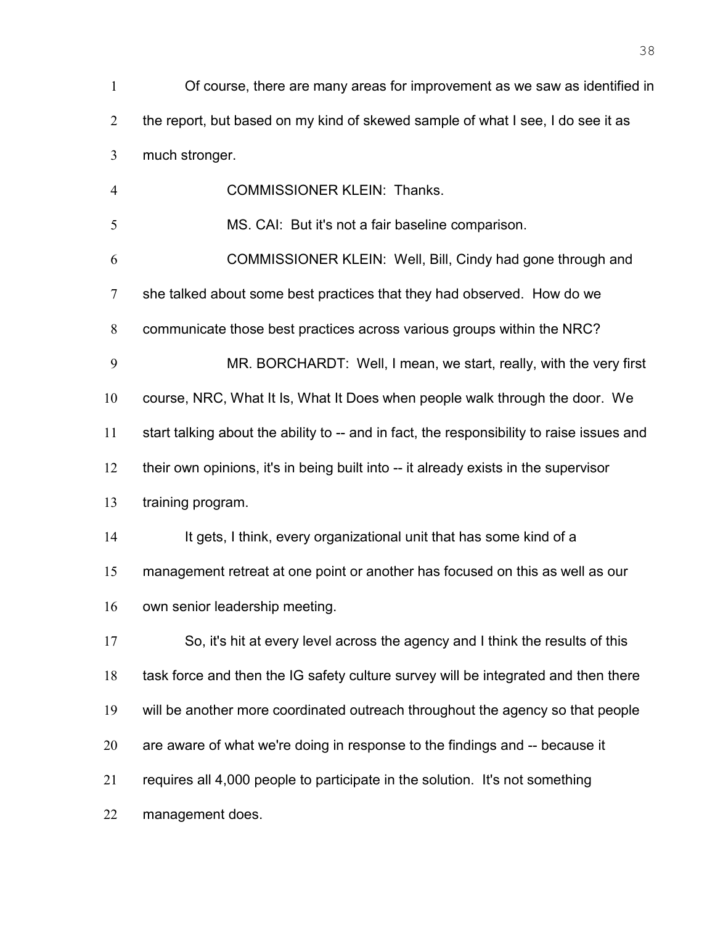| $\mathbf{1}$   | Of course, there are many areas for improvement as we saw as identified in      |
|----------------|---------------------------------------------------------------------------------|
| 2              | the report, but based on my kind of skewed sample of what I see, I do see it as |
| 3              | much stronger.                                                                  |
| $\overline{4}$ | <b>COMMISSIONER KLEIN: Thanks.</b>                                              |
| 5              | MS. CAI: But it's not a fair baseline comparison.                               |
| 6              | COMMISSIONER KLEIN: Well, Bill, Cindy had gone through and                      |
| $\tau$         | she talked about some best practices that they had observed. How do we          |
| 8              | communicate those best practices across various groups within the NRC?          |

MR. BORCHARDT: Well, I mean, we start, really, with the very first course, NRC, What It Is, What It Does when people walk through the door. We start talking about the ability to -- and in fact, the responsibility to raise issues and their own opinions, it's in being built into -- it already exists in the supervisor

training program.

14 It gets, I think, every organizational unit that has some kind of a management retreat at one point or another has focused on this as well as our own senior leadership meeting.

So, it's hit at every level across the agency and I think the results of this 18 task force and then the IG safety culture survey will be integrated and then there will be another more coordinated outreach throughout the agency so that people are aware of what we're doing in response to the findings and -- because it requires all 4,000 people to participate in the solution. It's not something management does.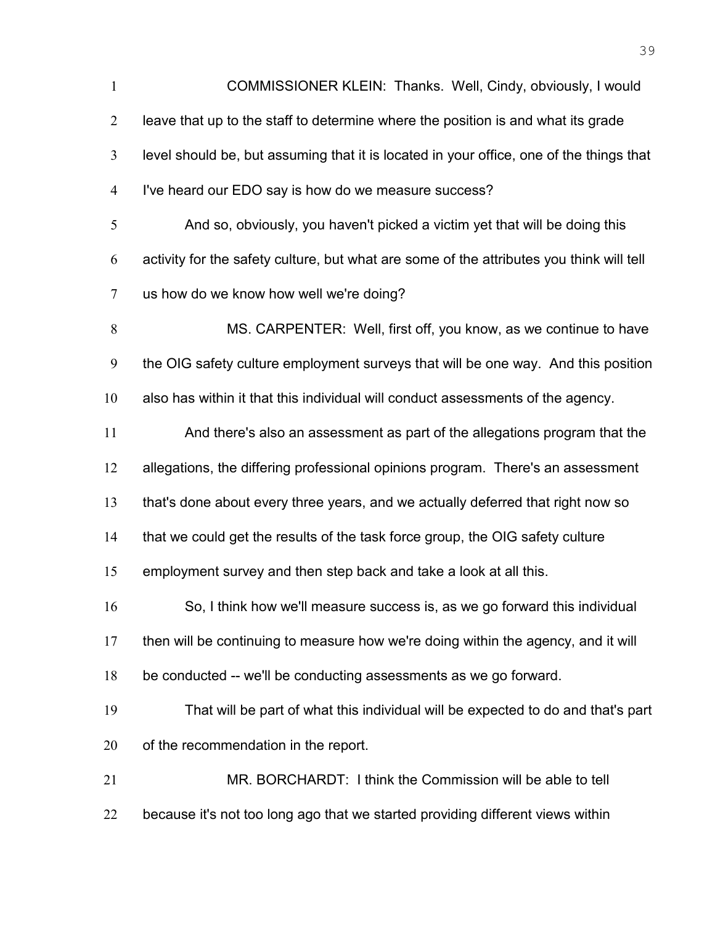COMMISSIONER KLEIN: Thanks. Well, Cindy, obviously, I would leave that up to the staff to determine where the position is and what its grade level should be, but assuming that it is located in your office, one of the things that I've heard our EDO say is how do we measure success? And so, obviously, you haven't picked a victim yet that will be doing this activity for the safety culture, but what are some of the attributes you think will tell us how do we know how well we're doing? MS. CARPENTER: Well, first off, you know, as we continue to have the OIG safety culture employment surveys that will be one way. And this position also has within it that this individual will conduct assessments of the agency. And there's also an assessment as part of the allegations program that the allegations, the differing professional opinions program. There's an assessment that's done about every three years, and we actually deferred that right now so that we could get the results of the task force group, the OIG safety culture employment survey and then step back and take a look at all this. So, I think how we'll measure success is, as we go forward this individual then will be continuing to measure how we're doing within the agency, and it will be conducted -- we'll be conducting assessments as we go forward. That will be part of what this individual will be expected to do and that's part of the recommendation in the report. MR. BORCHARDT: I think the Commission will be able to tell 22 because it's not too long ago that we started providing different views within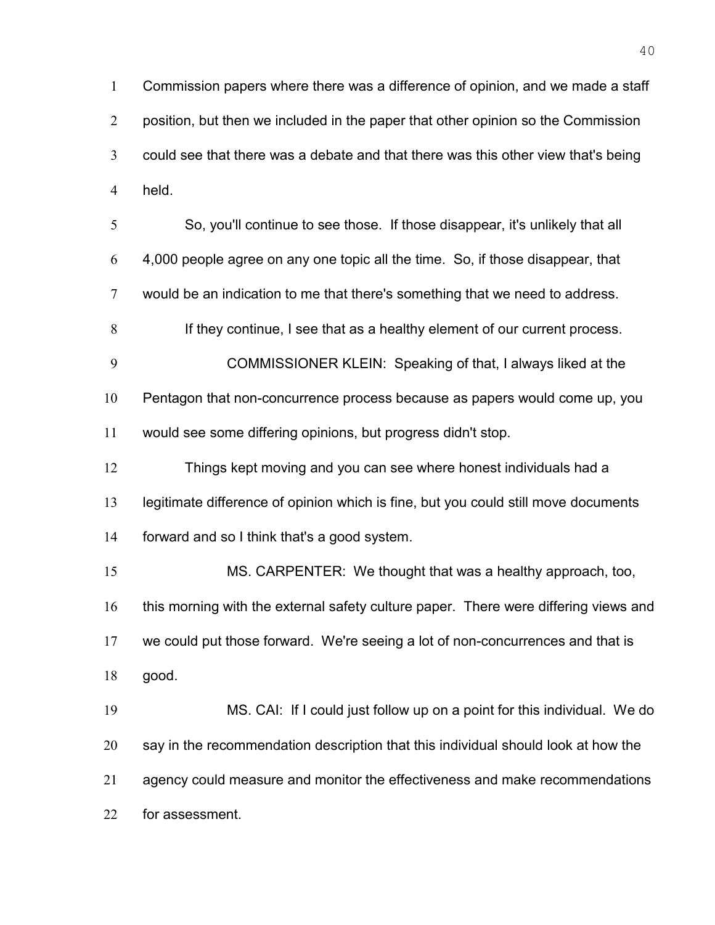Commission papers where there was a difference of opinion, and we made a staff 2 position, but then we included in the paper that other opinion so the Commission could see that there was a debate and that there was this other view that's being held.

So, you'll continue to see those. If those disappear, it's unlikely that all 4,000 people agree on any one topic all the time. So, if those disappear, that would be an indication to me that there's something that we need to address.

8 If they continue, I see that as a healthy element of our current process.

COMMISSIONER KLEIN: Speaking of that, I always liked at the Pentagon that non-concurrence process because as papers would come up, you would see some differing opinions, but progress didn't stop.

Things kept moving and you can see where honest individuals had a legitimate difference of opinion which is fine, but you could still move documents forward and so I think that's a good system.

MS. CARPENTER: We thought that was a healthy approach, too, 16 this morning with the external safety culture paper. There were differing views and we could put those forward. We're seeing a lot of non-concurrences and that is good.

MS. CAI: If I could just follow up on a point for this individual. We do say in the recommendation description that this individual should look at how the agency could measure and monitor the effectiveness and make recommendations for assessment.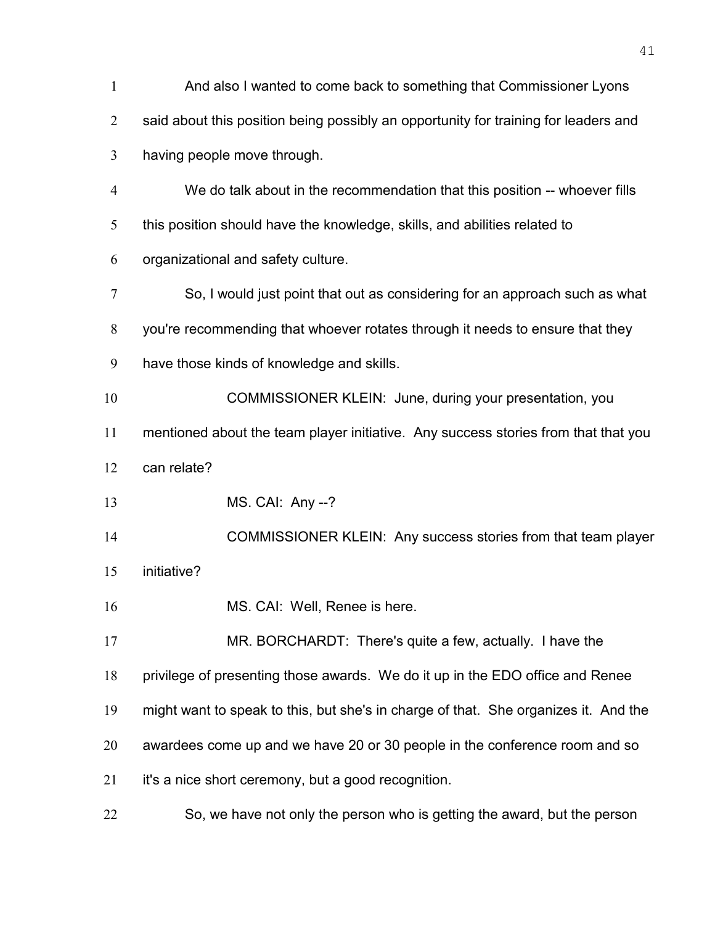| $\mathbf{1}$     | And also I wanted to come back to something that Commissioner Lyons                 |
|------------------|-------------------------------------------------------------------------------------|
| $\overline{2}$   | said about this position being possibly an opportunity for training for leaders and |
| 3                | having people move through.                                                         |
| $\overline{4}$   | We do talk about in the recommendation that this position -- whoever fills          |
| 5                | this position should have the knowledge, skills, and abilities related to           |
| 6                | organizational and safety culture.                                                  |
| $\boldsymbol{7}$ | So, I would just point that out as considering for an approach such as what         |
| $8\,$            | you're recommending that whoever rotates through it needs to ensure that they       |
| 9                | have those kinds of knowledge and skills.                                           |
| 10               | COMMISSIONER KLEIN: June, during your presentation, you                             |
| 11               | mentioned about the team player initiative. Any success stories from that that you  |
| 12               | can relate?                                                                         |
| 13               | MS. CAI: Any --?                                                                    |
| 14               | COMMISSIONER KLEIN: Any success stories from that team player                       |
| 15               | initiative?                                                                         |
| 16               | MS. CAI: Well, Renee is here.                                                       |
| 17               | MR. BORCHARDT: There's quite a few, actually. I have the                            |
| 18               | privilege of presenting those awards. We do it up in the EDO office and Renee       |
| 19               | might want to speak to this, but she's in charge of that. She organizes it. And the |
| 20               | awardees come up and we have 20 or 30 people in the conference room and so          |
| 21               | it's a nice short ceremony, but a good recognition.                                 |
| 22               | So, we have not only the person who is getting the award, but the person            |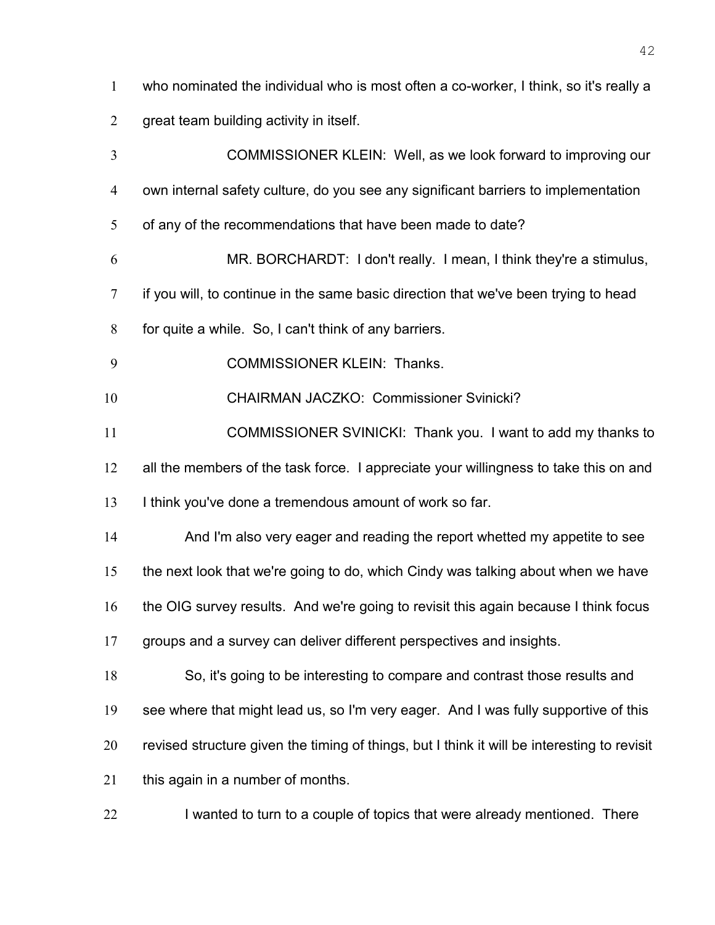who nominated the individual who is most often a co-worker, I think, so it's really a

great team building activity in itself.

COMMISSIONER KLEIN: Well, as we look forward to improving our own internal safety culture, do you see any significant barriers to implementation 5 of any of the recommendations that have been made to date? MR. BORCHARDT: I don't really. I mean, I think they're a stimulus, if you will, to continue in the same basic direction that we've been trying to head for quite a while. So, I can't think of any barriers. COMMISSIONER KLEIN: Thanks. CHAIRMAN JACZKO: Commissioner Svinicki? COMMISSIONER SVINICKI: Thank you. I want to add my thanks to 12 all the members of the task force. I appreciate your willingness to take this on and I think you've done a tremendous amount of work so far. And I'm also very eager and reading the report whetted my appetite to see the next look that we're going to do, which Cindy was talking about when we have the OIG survey results. And we're going to revisit this again because I think focus groups and a survey can deliver different perspectives and insights. So, it's going to be interesting to compare and contrast those results and see where that might lead us, so I'm very eager. And I was fully supportive of this revised structure given the timing of things, but I think it will be interesting to revisit this again in a number of months.

22 I wanted to turn to a couple of topics that were already mentioned. There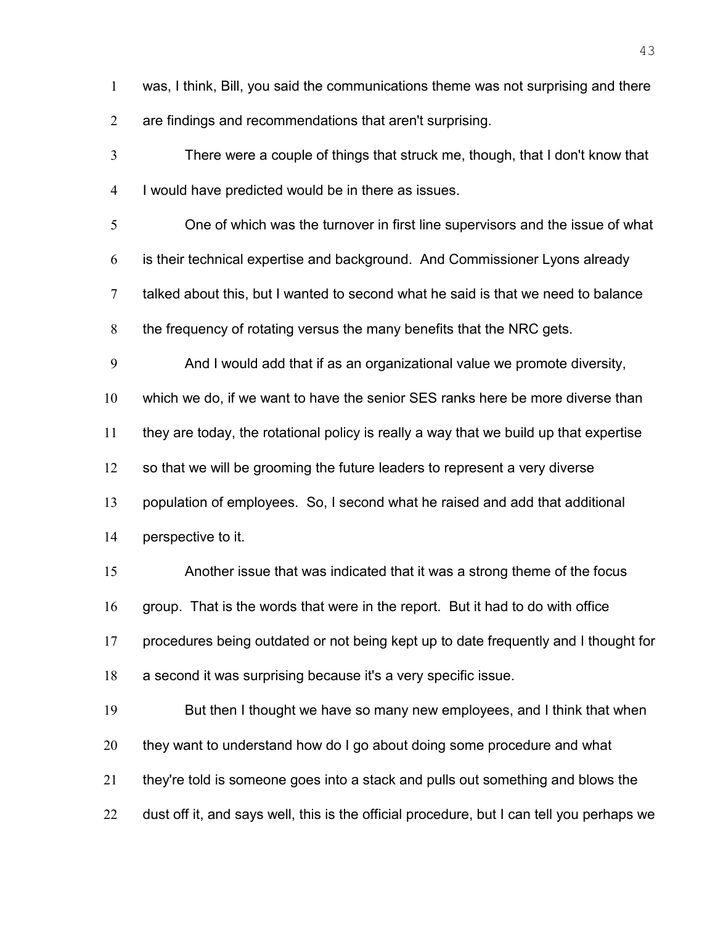was, I think, Bill, you said the communications theme was not surprising and there are findings and recommendations that aren't surprising.

There were a couple of things that struck me, though, that I don't know that I would have predicted would be in there as issues.

One of which was the turnover in first line supervisors and the issue of what is their technical expertise and background. And Commissioner Lyons already talked about this, but I wanted to second what he said is that we need to balance the frequency of rotating versus the many benefits that the NRC gets.

And I would add that if as an organizational value we promote diversity,

which we do, if we want to have the senior SES ranks here be more diverse than

they are today, the rotational policy is really a way that we build up that expertise

12 so that we will be grooming the future leaders to represent a very diverse

population of employees. So, I second what he raised and add that additional

perspective to it.

Another issue that was indicated that it was a strong theme of the focus group. That is the words that were in the report. But it had to do with office procedures being outdated or not being kept up to date frequently and I thought for

a second it was surprising because it's a very specific issue.

But then I thought we have so many new employees, and I think that when 20 they want to understand how do I go about doing some procedure and what they're told is someone goes into a stack and pulls out something and blows the 22 dust off it, and says well, this is the official procedure, but I can tell you perhaps we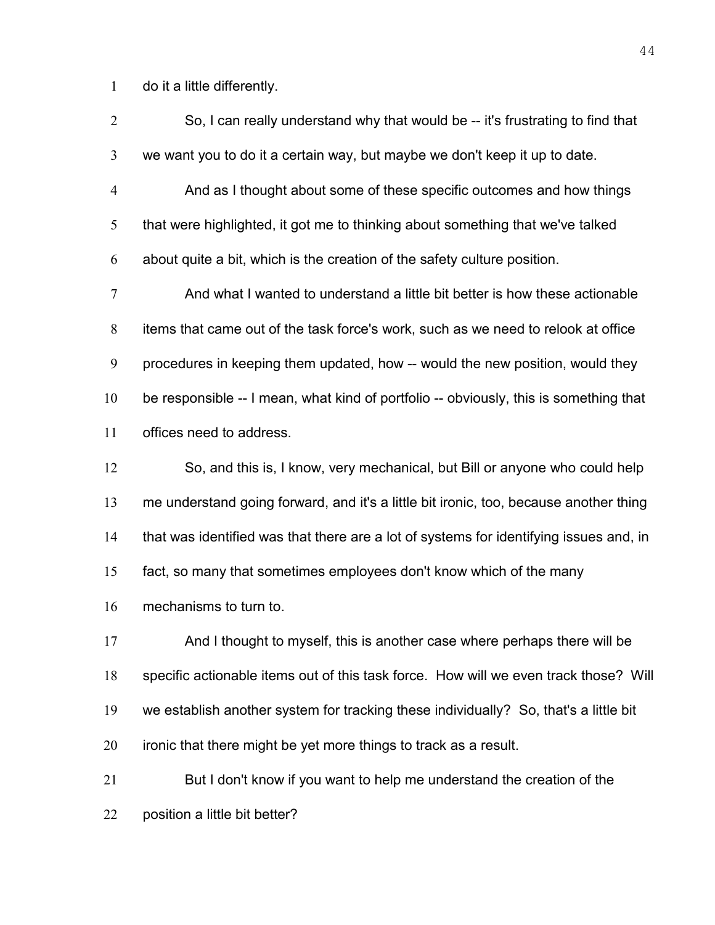do it a little differently.

| $\overline{2}$ | So, I can really understand why that would be -- it's frustrating to find that         |
|----------------|----------------------------------------------------------------------------------------|
| 3              | we want you to do it a certain way, but maybe we don't keep it up to date.             |
| $\overline{4}$ | And as I thought about some of these specific outcomes and how things                  |
| 5              | that were highlighted, it got me to thinking about something that we've talked         |
| 6              | about quite a bit, which is the creation of the safety culture position.               |
| 7              | And what I wanted to understand a little bit better is how these actionable            |
| 8              | items that came out of the task force's work, such as we need to relook at office      |
| 9              | procedures in keeping them updated, how -- would the new position, would they          |
| 10             | be responsible -- I mean, what kind of portfolio -- obviously, this is something that  |
| 11             | offices need to address.                                                               |
| 12             | So, and this is, I know, very mechanical, but Bill or anyone who could help            |
| 13             | me understand going forward, and it's a little bit ironic, too, because another thing  |
| 14             | that was identified was that there are a lot of systems for identifying issues and, in |
| 15             | fact, so many that sometimes employees don't know which of the many                    |
| 16             | mechanisms to turn to.                                                                 |
| 17             | And I thought to myself, this is another case where perhaps there will be              |
| 18             | specific actionable items out of this task force. How will we even track those? Will   |
| 19             | we establish another system for tracking these individually? So, that's a little bit   |
| 20             | ironic that there might be yet more things to track as a result.                       |
| 21             | But I don't know if you want to help me understand the creation of the                 |
| 22             | position a little bit better?                                                          |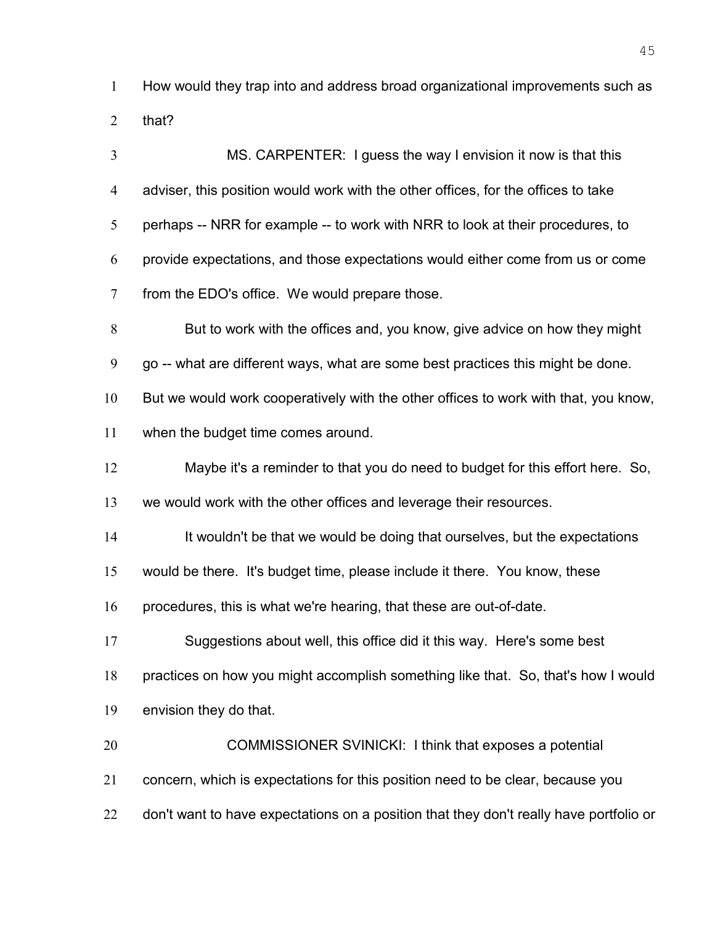How would they trap into and address broad organizational improvements such as that?

MS. CARPENTER: I guess the way I envision it now is that this adviser, this position would work with the other offices, for the offices to take 5 perhaps -- NRR for example -- to work with NRR to look at their procedures, to provide expectations, and those expectations would either come from us or come from the EDO's office. We would prepare those. But to work with the offices and, you know, give advice on how they might go -- what are different ways, what are some best practices this might be done. But we would work cooperatively with the other offices to work with that, you know, when the budget time comes around. Maybe it's a reminder to that you do need to budget for this effort here. So, we would work with the other offices and leverage their resources. It wouldn't be that we would be doing that ourselves, but the expectations would be there. It's budget time, please include it there. You know, these procedures, this is what we're hearing, that these are out-of-date. Suggestions about well, this office did it this way. Here's some best practices on how you might accomplish something like that. So, that's how I would envision they do that. COMMISSIONER SVINICKI: I think that exposes a potential concern, which is expectations for this position need to be clear, because you 22 don't want to have expectations on a position that they don't really have portfolio or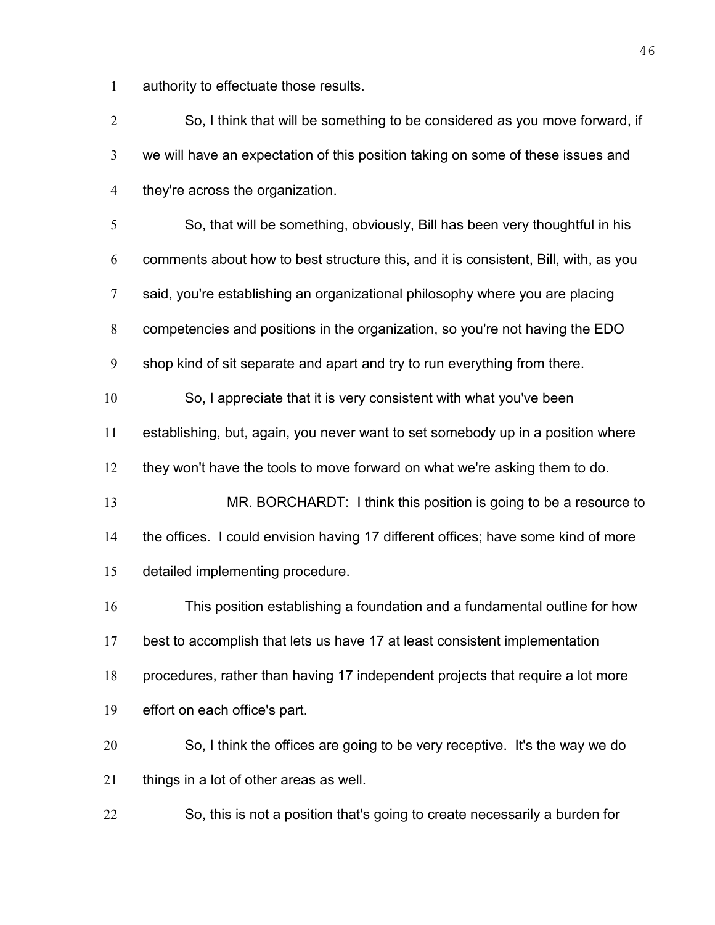authority to effectuate those results.

So, I think that will be something to be considered as you move forward, if we will have an expectation of this position taking on some of these issues and they're across the organization. So, that will be something, obviously, Bill has been very thoughtful in his comments about how to best structure this, and it is consistent, Bill, with, as you said, you're establishing an organizational philosophy where you are placing competencies and positions in the organization, so you're not having the EDO shop kind of sit separate and apart and try to run everything from there. So, I appreciate that it is very consistent with what you've been establishing, but, again, you never want to set somebody up in a position where they won't have the tools to move forward on what we're asking them to do. MR. BORCHARDT: I think this position is going to be a resource to the offices. I could envision having 17 different offices; have some kind of more detailed implementing procedure. This position establishing a foundation and a fundamental outline for how best to accomplish that lets us have 17 at least consistent implementation procedures, rather than having 17 independent projects that require a lot more effort on each office's part. So, I think the offices are going to be very receptive. It's the way we do things in a lot of other areas as well. So, this is not a position that's going to create necessarily a burden for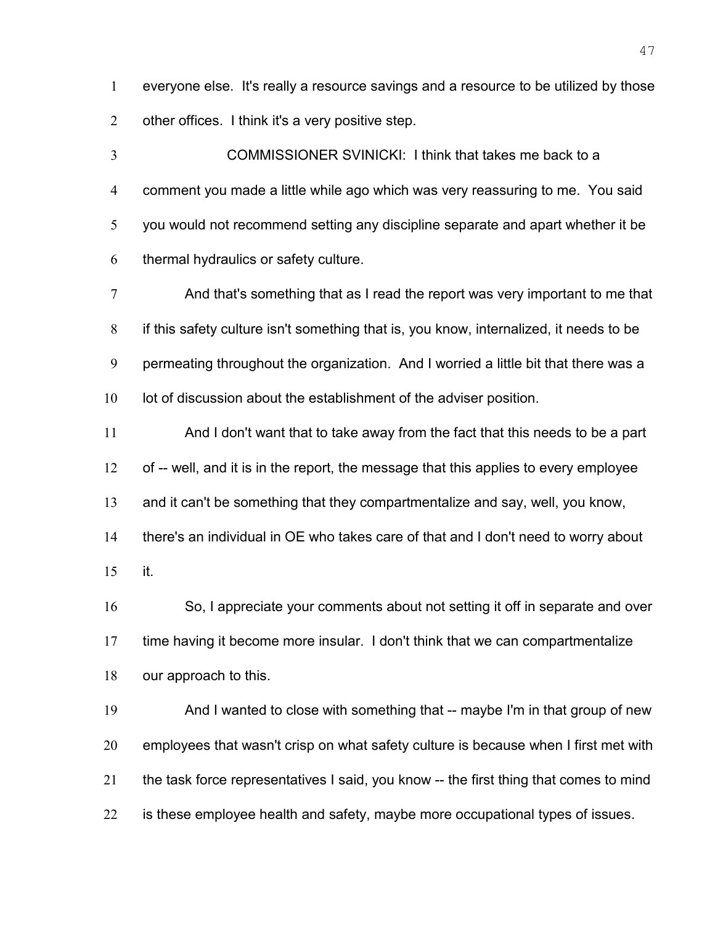everyone else. It's really a resource savings and a resource to be utilized by those other offices. I think it's a very positive step.

COMMISSIONER SVINICKI: I think that takes me back to a comment you made a little while ago which was very reassuring to me. You said you would not recommend setting any discipline separate and apart whether it be thermal hydraulics or safety culture.

And that's something that as I read the report was very important to me that if this safety culture isn't something that is, you know, internalized, it needs to be permeating throughout the organization. And I worried a little bit that there was a 10 lot of discussion about the establishment of the adviser position.

And I don't want that to take away from the fact that this needs to be a part of -- well, and it is in the report, the message that this applies to every employee and it can't be something that they compartmentalize and say, well, you know,

there's an individual in OE who takes care of that and I don't need to worry about it.

So, I appreciate your comments about not setting it off in separate and over time having it become more insular. I don't think that we can compartmentalize our approach to this.

And I wanted to close with something that -- maybe I'm in that group of new employees that wasn't crisp on what safety culture is because when I first met with the task force representatives I said, you know -- the first thing that comes to mind is these employee health and safety, maybe more occupational types of issues.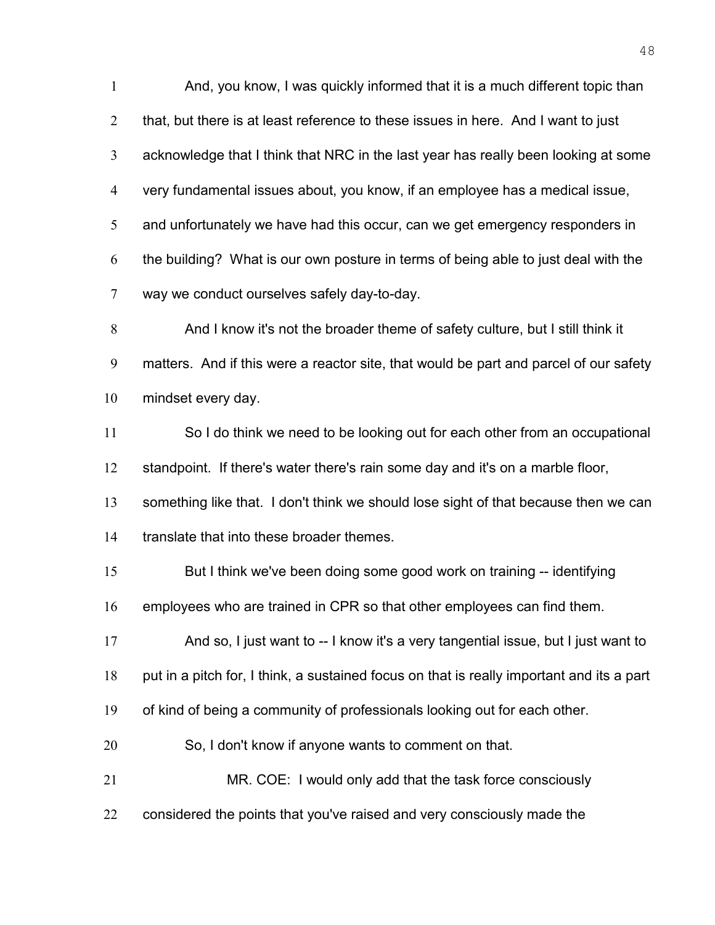And, you know, I was quickly informed that it is a much different topic than that, but there is at least reference to these issues in here. And I want to just acknowledge that I think that NRC in the last year has really been looking at some very fundamental issues about, you know, if an employee has a medical issue, and unfortunately we have had this occur, can we get emergency responders in the building? What is our own posture in terms of being able to just deal with the way we conduct ourselves safely day-to-day. And I know it's not the broader theme of safety culture, but I still think it matters. And if this were a reactor site, that would be part and parcel of our safety mindset every day. So I do think we need to be looking out for each other from an occupational standpoint. If there's water there's rain some day and it's on a marble floor, 13 something like that. I don't think we should lose sight of that because then we can translate that into these broader themes. But I think we've been doing some good work on training -- identifying employees who are trained in CPR so that other employees can find them. And so, I just want to -- I know it's a very tangential issue, but I just want to put in a pitch for, I think, a sustained focus on that is really important and its a part of kind of being a community of professionals looking out for each other. So, I don't know if anyone wants to comment on that. MR. COE: I would only add that the task force consciously 22 considered the points that you've raised and very consciously made the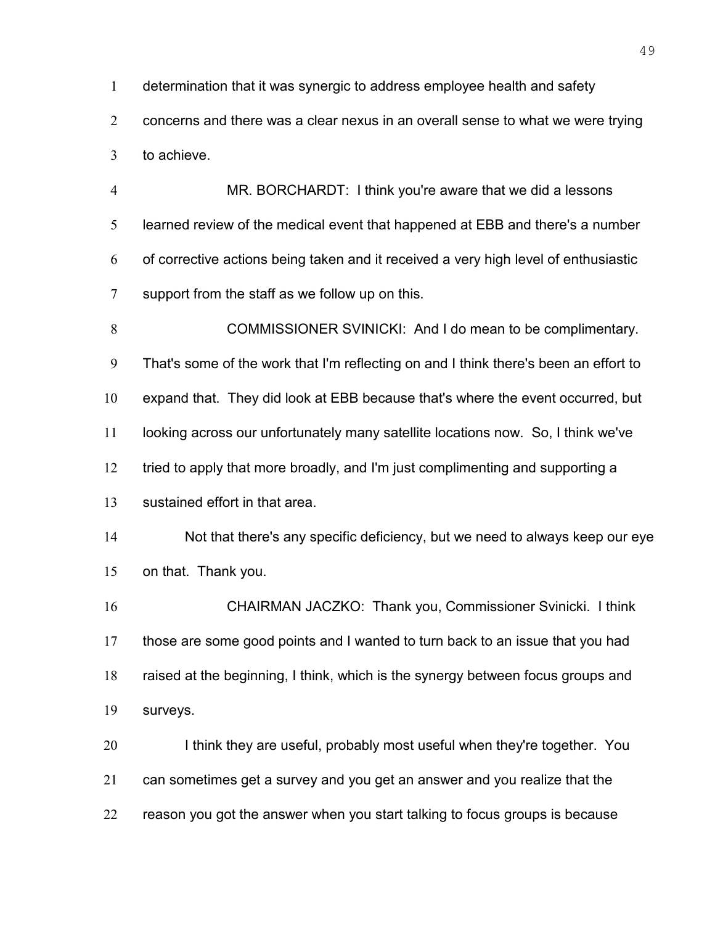determination that it was synergic to address employee health and safety

concerns and there was a clear nexus in an overall sense to what we were trying to achieve.

MR. BORCHARDT: I think you're aware that we did a lessons learned review of the medical event that happened at EBB and there's a number of corrective actions being taken and it received a very high level of enthusiastic support from the staff as we follow up on this.

COMMISSIONER SVINICKI: And I do mean to be complimentary. That's some of the work that I'm reflecting on and I think there's been an effort to expand that. They did look at EBB because that's where the event occurred, but looking across our unfortunately many satellite locations now. So, I think we've 12 tried to apply that more broadly, and I'm just complimenting and supporting a sustained effort in that area. Not that there's any specific deficiency, but we need to always keep our eye

on that. Thank you.

CHAIRMAN JACZKO: Thank you, Commissioner Svinicki. I think those are some good points and I wanted to turn back to an issue that you had raised at the beginning, I think, which is the synergy between focus groups and surveys.

20 I think they are useful, probably most useful when they're together. You can sometimes get a survey and you get an answer and you realize that the reason you got the answer when you start talking to focus groups is because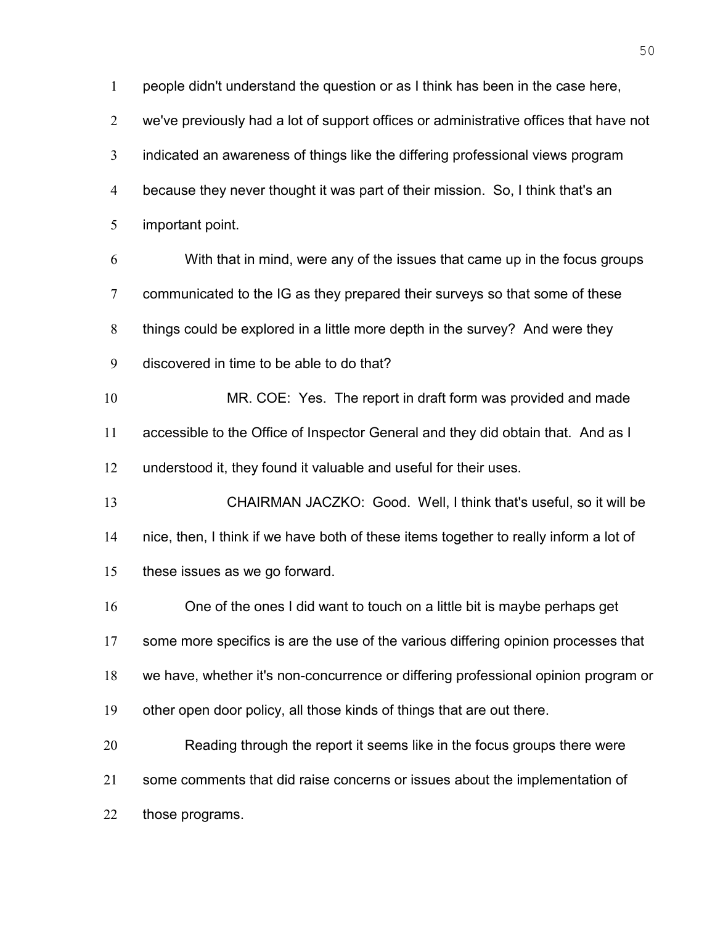people didn't understand the question or as I think has been in the case here, we've previously had a lot of support offices or administrative offices that have not indicated an awareness of things like the differing professional views program because they never thought it was part of their mission. So, I think that's an important point. With that in mind, were any of the issues that came up in the focus groups communicated to the IG as they prepared their surveys so that some of these things could be explored in a little more depth in the survey? And were they discovered in time to be able to do that? MR. COE: Yes. The report in draft form was provided and made accessible to the Office of Inspector General and they did obtain that. And as I understood it, they found it valuable and useful for their uses. CHAIRMAN JACZKO: Good. Well, I think that's useful, so it will be nice, then, I think if we have both of these items together to really inform a lot of these issues as we go forward. One of the ones I did want to touch on a little bit is maybe perhaps get 17 some more specifics is are the use of the various differing opinion processes that we have, whether it's non-concurrence or differing professional opinion program or other open door policy, all those kinds of things that are out there. Reading through the report it seems like in the focus groups there were some comments that did raise concerns or issues about the implementation of those programs.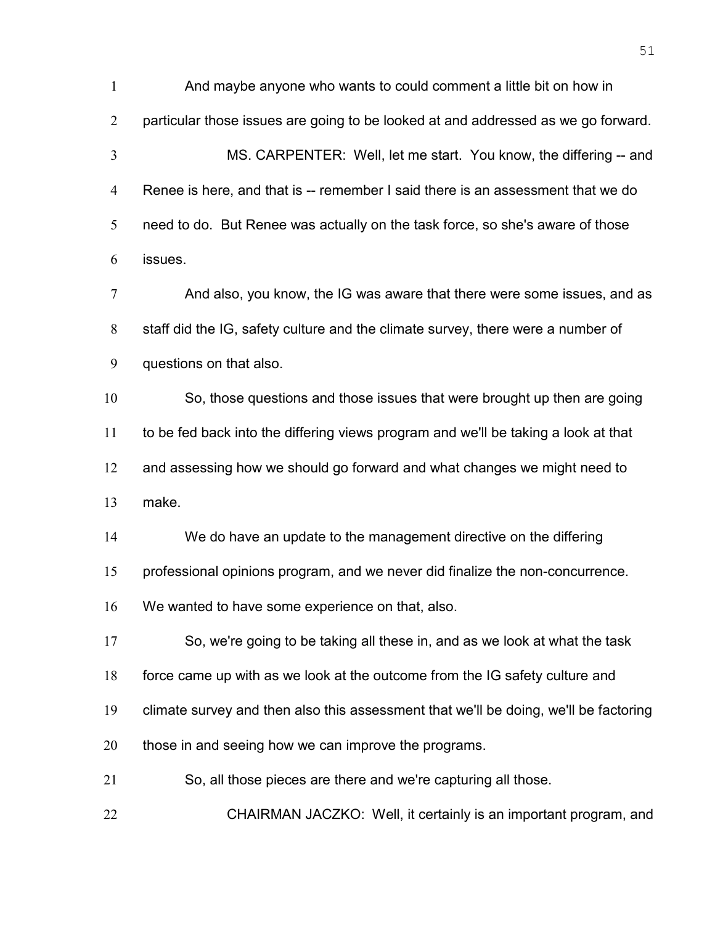And maybe anyone who wants to could comment a little bit on how in particular those issues are going to be looked at and addressed as we go forward. MS. CARPENTER: Well, let me start. You know, the differing -- and Renee is here, and that is -- remember I said there is an assessment that we do need to do. But Renee was actually on the task force, so she's aware of those issues. And also, you know, the IG was aware that there were some issues, and as staff did the IG, safety culture and the climate survey, there were a number of questions on that also. So, those questions and those issues that were brought up then are going to be fed back into the differing views program and we'll be taking a look at that 12 and assessing how we should go forward and what changes we might need to make. We do have an update to the management directive on the differing professional opinions program, and we never did finalize the non-concurrence. We wanted to have some experience on that, also. So, we're going to be taking all these in, and as we look at what the task force came up with as we look at the outcome from the IG safety culture and climate survey and then also this assessment that we'll be doing, we'll be factoring 20 those in and seeing how we can improve the programs. So, all those pieces are there and we're capturing all those. CHAIRMAN JACZKO: Well, it certainly is an important program, and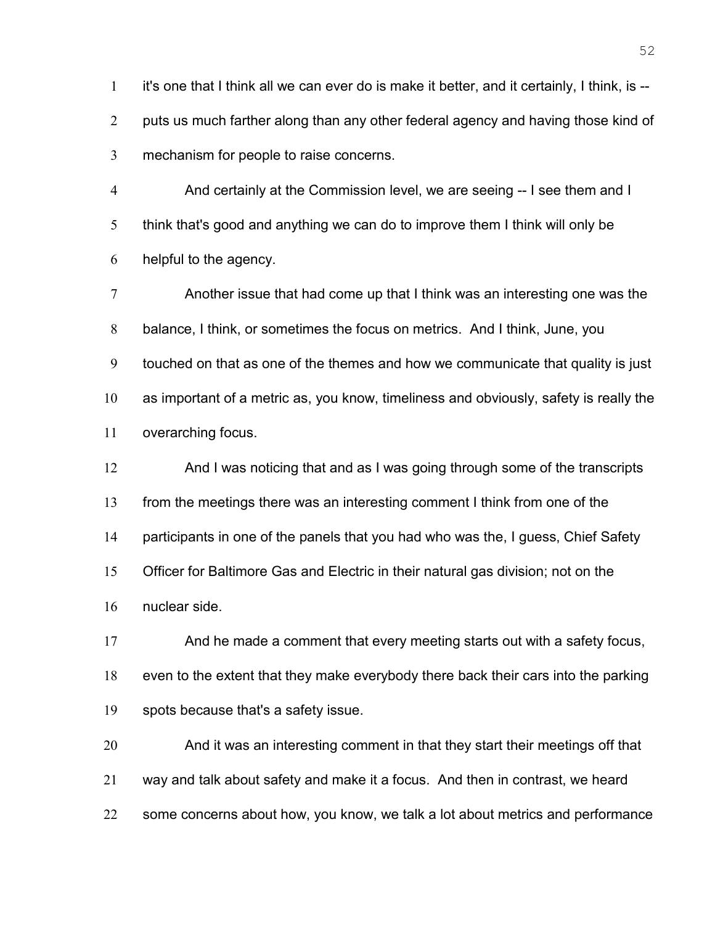it's one that I think all we can ever do is make it better, and it certainly, I think, is -- 2 puts us much farther along than any other federal agency and having those kind of mechanism for people to raise concerns.

And certainly at the Commission level, we are seeing -- I see them and I think that's good and anything we can do to improve them I think will only be helpful to the agency.

Another issue that had come up that I think was an interesting one was the balance, I think, or sometimes the focus on metrics. And I think, June, you touched on that as one of the themes and how we communicate that quality is just as important of a metric as, you know, timeliness and obviously, safety is really the overarching focus.

And I was noticing that and as I was going through some of the transcripts from the meetings there was an interesting comment I think from one of the participants in one of the panels that you had who was the, I guess, Chief Safety Officer for Baltimore Gas and Electric in their natural gas division; not on the nuclear side.

And he made a comment that every meeting starts out with a safety focus, even to the extent that they make everybody there back their cars into the parking spots because that's a safety issue.

And it was an interesting comment in that they start their meetings off that way and talk about safety and make it a focus. And then in contrast, we heard 22 some concerns about how, you know, we talk a lot about metrics and performance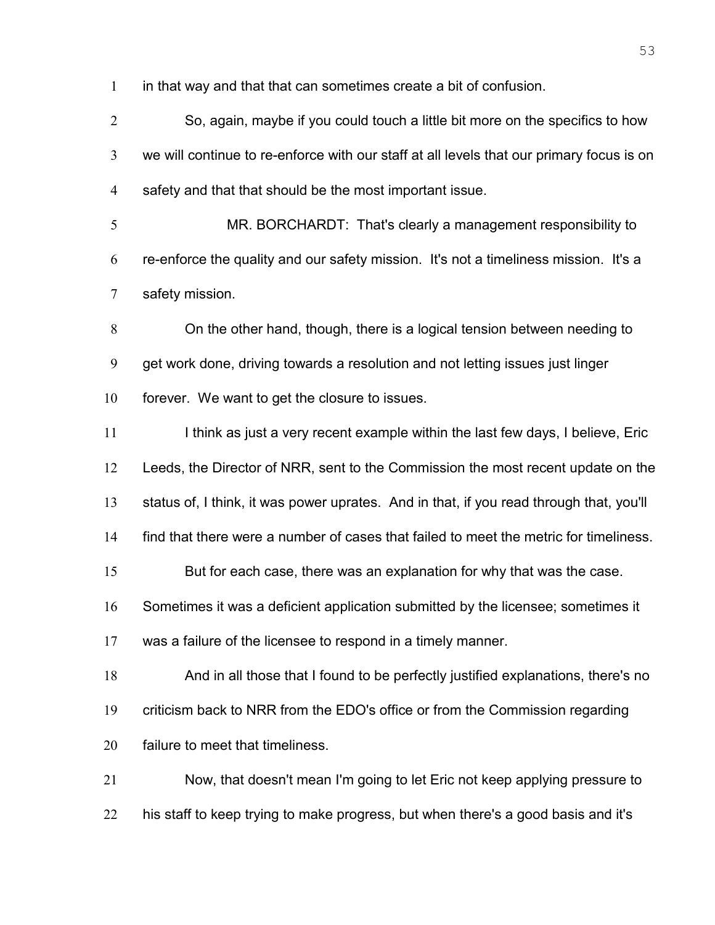in that way and that that can sometimes create a bit of confusion.

So, again, maybe if you could touch a little bit more on the specifics to how we will continue to re-enforce with our staff at all levels that our primary focus is on safety and that that should be the most important issue.

MR. BORCHARDT: That's clearly a management responsibility to re-enforce the quality and our safety mission. It's not a timeliness mission. It's a safety mission.

On the other hand, though, there is a logical tension between needing to get work done, driving towards a resolution and not letting issues just linger forever. We want to get the closure to issues.

11 I think as just a very recent example within the last few days, I believe, Eric Leeds, the Director of NRR, sent to the Commission the most recent update on the status of, I think, it was power uprates. And in that, if you read through that, you'll find that there were a number of cases that failed to meet the metric for timeliness.

But for each case, there was an explanation for why that was the case.

Sometimes it was a deficient application submitted by the licensee; sometimes it

was a failure of the licensee to respond in a timely manner.

And in all those that I found to be perfectly justified explanations, there's no

criticism back to NRR from the EDO's office or from the Commission regarding

failure to meet that timeliness.

Now, that doesn't mean I'm going to let Eric not keep applying pressure to his staff to keep trying to make progress, but when there's a good basis and it's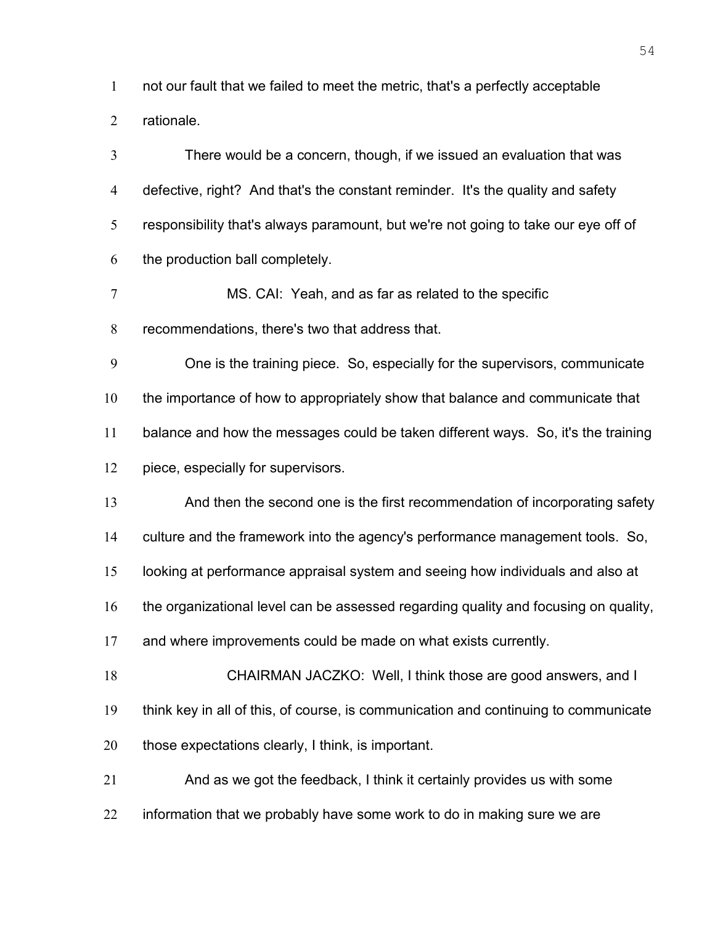not our fault that we failed to meet the metric, that's a perfectly acceptable

rationale.

There would be a concern, though, if we issued an evaluation that was defective, right? And that's the constant reminder. It's the quality and safety responsibility that's always paramount, but we're not going to take our eye off of the production ball completely.

MS. CAI: Yeah, and as far as related to the specific

recommendations, there's two that address that.

One is the training piece. So, especially for the supervisors, communicate 10 the importance of how to appropriately show that balance and communicate that balance and how the messages could be taken different ways. So, it's the training piece, especially for supervisors.

And then the second one is the first recommendation of incorporating safety

culture and the framework into the agency's performance management tools. So,

looking at performance appraisal system and seeing how individuals and also at

the organizational level can be assessed regarding quality and focusing on quality,

and where improvements could be made on what exists currently.

CHAIRMAN JACZKO: Well, I think those are good answers, and I think key in all of this, of course, is communication and continuing to communicate those expectations clearly, I think, is important.

And as we got the feedback, I think it certainly provides us with some 22 information that we probably have some work to do in making sure we are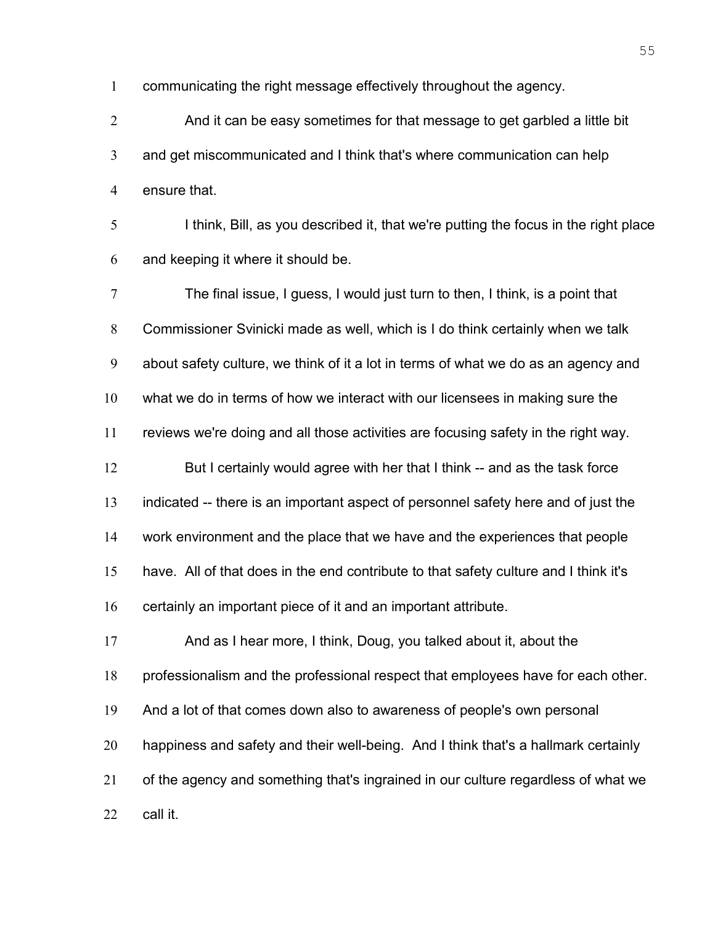communicating the right message effectively throughout the agency.

And it can be easy sometimes for that message to get garbled a little bit and get miscommunicated and I think that's where communication can help ensure that.

I think, Bill, as you described it, that we're putting the focus in the right place and keeping it where it should be.

The final issue, I guess, I would just turn to then, I think, is a point that Commissioner Svinicki made as well, which is I do think certainly when we talk about safety culture, we think of it a lot in terms of what we do as an agency and what we do in terms of how we interact with our licensees in making sure the reviews we're doing and all those activities are focusing safety in the right way. 12 But I certainly would agree with her that I think -- and as the task force indicated -- there is an important aspect of personnel safety here and of just the work environment and the place that we have and the experiences that people have. All of that does in the end contribute to that safety culture and I think it's certainly an important piece of it and an important attribute. And as I hear more, I think, Doug, you talked about it, about the professionalism and the professional respect that employees have for each other. And a lot of that comes down also to awareness of people's own personal happiness and safety and their well-being. And I think that's a hallmark certainly of the agency and something that's ingrained in our culture regardless of what we call it.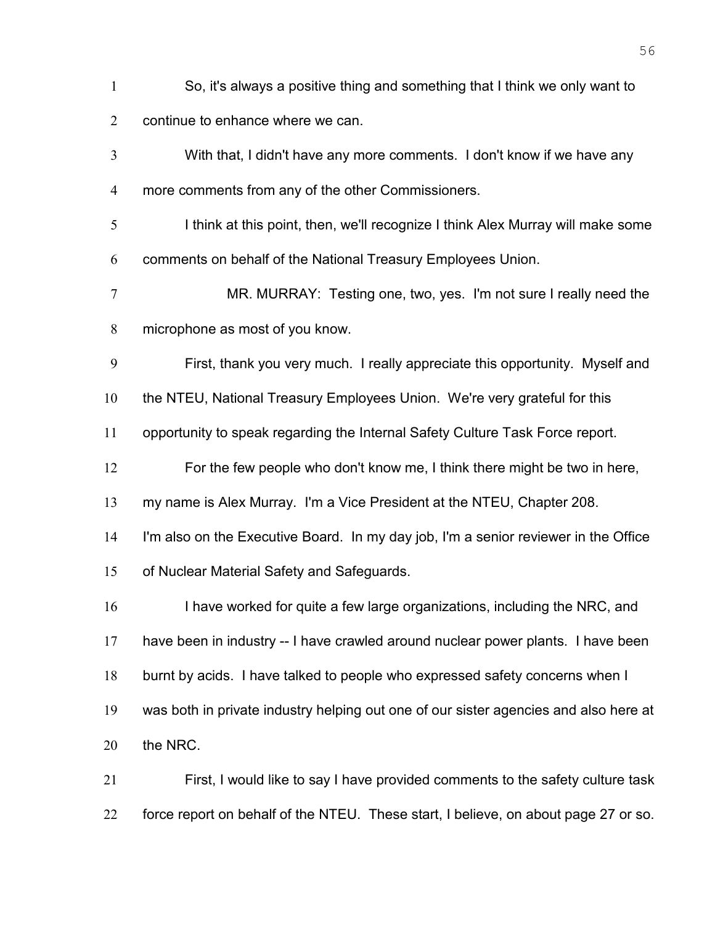- So, it's always a positive thing and something that I think we only want to continue to enhance where we can.
- With that, I didn't have any more comments. I don't know if we have any more comments from any of the other Commissioners.
- I think at this point, then, we'll recognize I think Alex Murray will make some comments on behalf of the National Treasury Employees Union.
- MR. MURRAY: Testing one, two, yes. I'm not sure I really need the microphone as most of you know.
- First, thank you very much. I really appreciate this opportunity. Myself and
- 10 the NTEU, National Treasury Employees Union. We're very grateful for this
- opportunity to speak regarding the Internal Safety Culture Task Force report.
- For the few people who don't know me, I think there might be two in here,
- my name is Alex Murray. I'm a Vice President at the NTEU, Chapter 208.
- I'm also on the Executive Board. In my day job, I'm a senior reviewer in the Office
- of Nuclear Material Safety and Safeguards.
- 16 I have worked for quite a few large organizations, including the NRC, and have been in industry -- I have crawled around nuclear power plants. I have been burnt by acids. I have talked to people who expressed safety concerns when I was both in private industry helping out one of our sister agencies and also here at the NRC.
- First, I would like to say I have provided comments to the safety culture task force report on behalf of the NTEU. These start, I believe, on about page 27 or so.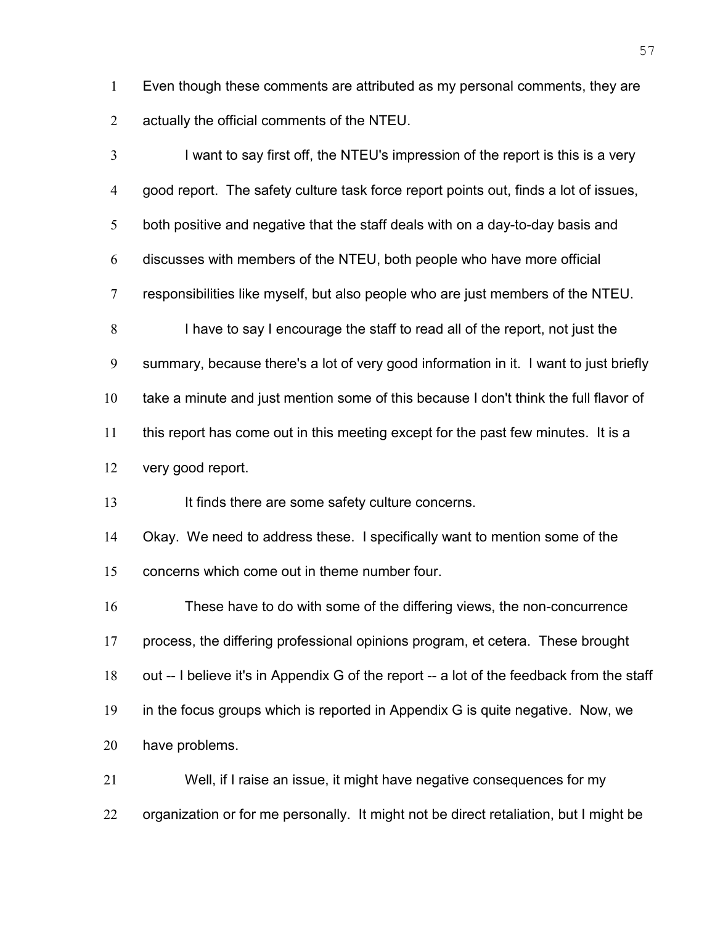Even though these comments are attributed as my personal comments, they are actually the official comments of the NTEU.

I want to say first off, the NTEU's impression of the report is this is a very good report. The safety culture task force report points out, finds a lot of issues, both positive and negative that the staff deals with on a day-to-day basis and discusses with members of the NTEU, both people who have more official responsibilities like myself, but also people who are just members of the NTEU. I have to say I encourage the staff to read all of the report, not just the summary, because there's a lot of very good information in it. I want to just briefly take a minute and just mention some of this because I don't think the full flavor of this report has come out in this meeting except for the past few minutes. It is a very good report. 13 It finds there are some safety culture concerns. Okay. We need to address these. I specifically want to mention some of the concerns which come out in theme number four. These have to do with some of the differing views, the non-concurrence process, the differing professional opinions program, et cetera. These brought 18 out -- I believe it's in Appendix G of the report -- a lot of the feedback from the staff in the focus groups which is reported in Appendix G is quite negative. Now, we have problems. Well, if I raise an issue, it might have negative consequences for my

22 organization or for me personally. It might not be direct retaliation, but I might be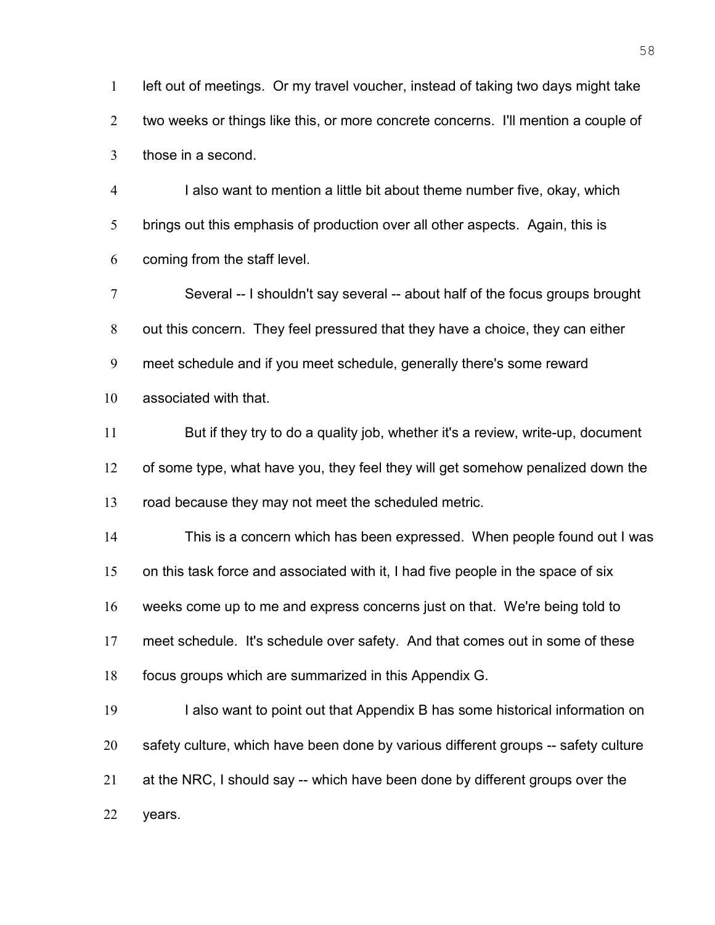left out of meetings. Or my travel voucher, instead of taking two days might take two weeks or things like this, or more concrete concerns. I'll mention a couple of those in a second.

I also want to mention a little bit about theme number five, okay, which brings out this emphasis of production over all other aspects. Again, this is coming from the staff level.

Several -- I shouldn't say several -- about half of the focus groups brought out this concern. They feel pressured that they have a choice, they can either meet schedule and if you meet schedule, generally there's some reward associated with that.

But if they try to do a quality job, whether it's a review, write-up, document of some type, what have you, they feel they will get somehow penalized down the road because they may not meet the scheduled metric.

This is a concern which has been expressed. When people found out I was on this task force and associated with it, I had five people in the space of six weeks come up to me and express concerns just on that. We're being told to meet schedule. It's schedule over safety. And that comes out in some of these focus groups which are summarized in this Appendix G.

19 I also want to point out that Appendix B has some historical information on safety culture, which have been done by various different groups -- safety culture at the NRC, I should say -- which have been done by different groups over the years.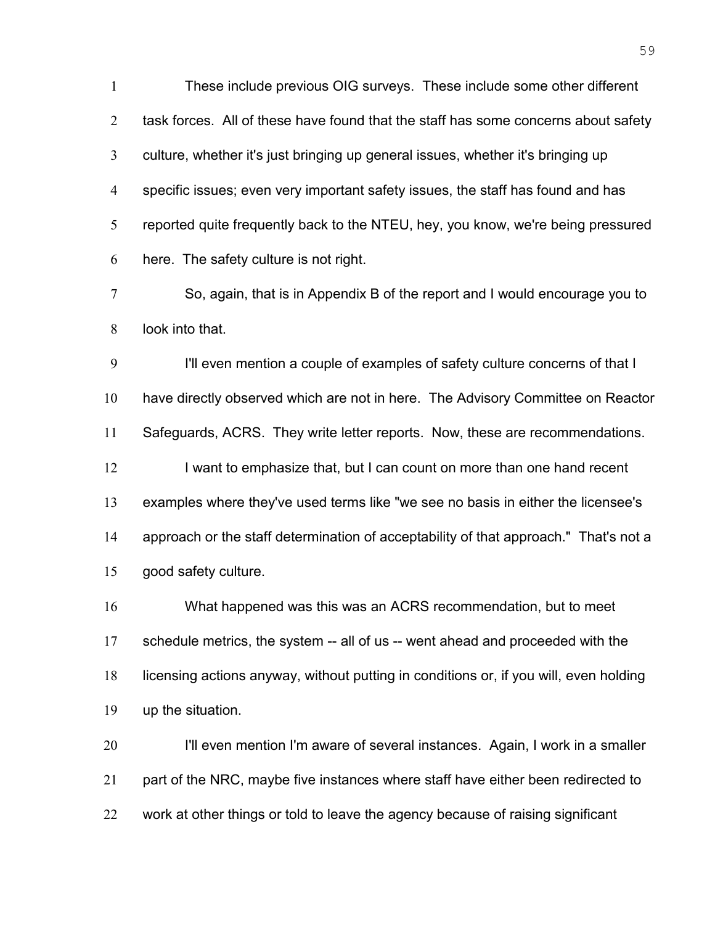These include previous OIG surveys. These include some other different 2 task forces. All of these have found that the staff has some concerns about safety culture, whether it's just bringing up general issues, whether it's bringing up specific issues; even very important safety issues, the staff has found and has reported quite frequently back to the NTEU, hey, you know, we're being pressured here. The safety culture is not right. So, again, that is in Appendix B of the report and I would encourage you to look into that. I'll even mention a couple of examples of safety culture concerns of that I have directly observed which are not in here. The Advisory Committee on Reactor Safeguards, ACRS. They write letter reports. Now, these are recommendations. 12 I want to emphasize that, but I can count on more than one hand recent examples where they've used terms like "we see no basis in either the licensee's approach or the staff determination of acceptability of that approach." That's not a

good safety culture.

What happened was this was an ACRS recommendation, but to meet schedule metrics, the system -- all of us -- went ahead and proceeded with the licensing actions anyway, without putting in conditions or, if you will, even holding up the situation.

I'll even mention I'm aware of several instances. Again, I work in a smaller 21 part of the NRC, maybe five instances where staff have either been redirected to work at other things or told to leave the agency because of raising significant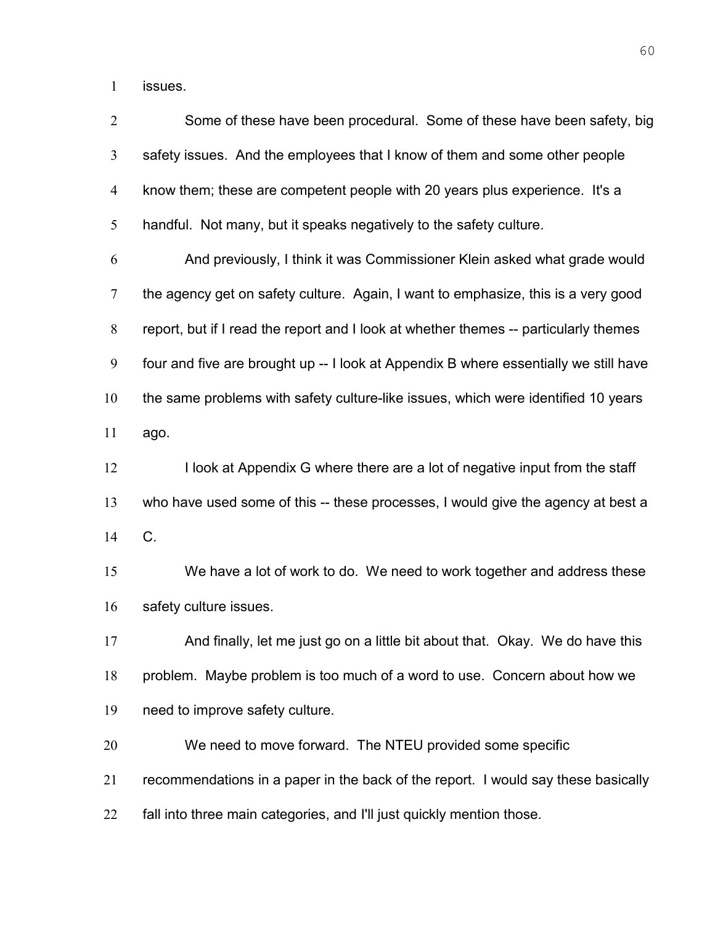issues.

| $\overline{2}$ | Some of these have been procedural. Some of these have been safety, big              |
|----------------|--------------------------------------------------------------------------------------|
| 3              | safety issues. And the employees that I know of them and some other people           |
| 4              | know them; these are competent people with 20 years plus experience. It's a          |
| 5              | handful. Not many, but it speaks negatively to the safety culture.                   |
| 6              | And previously, I think it was Commissioner Klein asked what grade would             |
| 7              | the agency get on safety culture. Again, I want to emphasize, this is a very good    |
| 8              | report, but if I read the report and I look at whether themes -- particularly themes |
| 9              | four and five are brought up -- I look at Appendix B where essentially we still have |
| 10             | the same problems with safety culture-like issues, which were identified 10 years    |
| 11             | ago.                                                                                 |
| 12             | I look at Appendix G where there are a lot of negative input from the staff          |
| 13             | who have used some of this -- these processes, I would give the agency at best a     |
| 14             | C.                                                                                   |
| 15             | We have a lot of work to do. We need to work together and address these              |
| 16             | safety culture issues.                                                               |
| 17             | And finally, let me just go on a little bit about that. Okay. We do have this        |
| 18             | problem. Maybe problem is too much of a word to use. Concern about how we            |
| 19             | need to improve safety culture.                                                      |
| 20             | We need to move forward. The NTEU provided some specific                             |
| 21             | recommendations in a paper in the back of the report. I would say these basically    |
| 22             | fall into three main categories, and I'll just quickly mention those.                |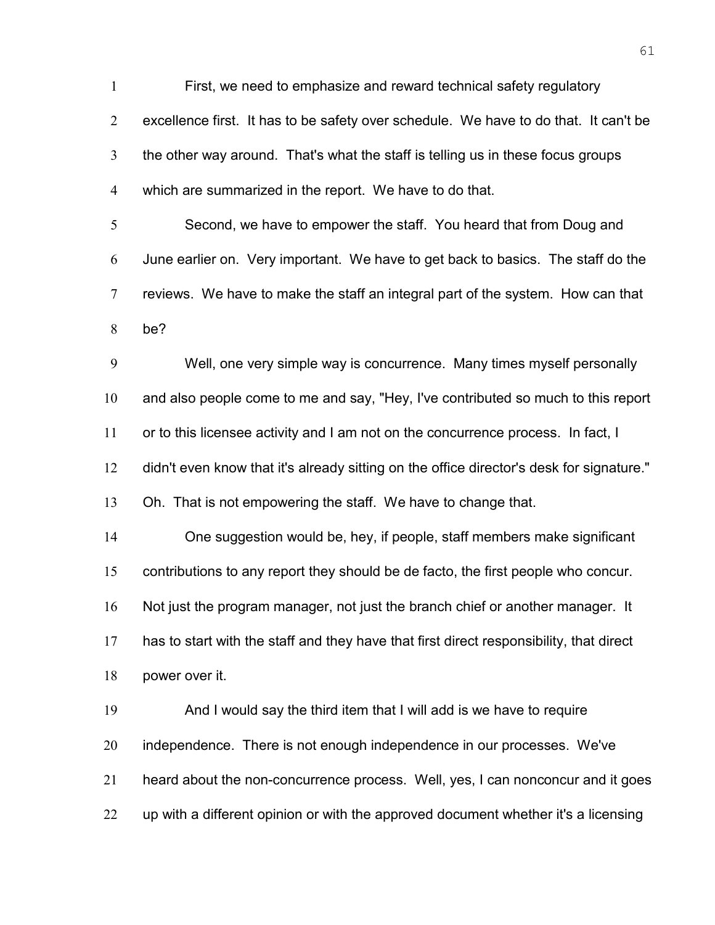First, we need to emphasize and reward technical safety regulatory excellence first. It has to be safety over schedule. We have to do that. It can't be the other way around. That's what the staff is telling us in these focus groups which are summarized in the report. We have to do that. Second, we have to empower the staff. You heard that from Doug and June earlier on. Very important. We have to get back to basics. The staff do the reviews. We have to make the staff an integral part of the system. How can that be? Well, one very simple way is concurrence. Many times myself personally and also people come to me and say, "Hey, I've contributed so much to this report or to this licensee activity and I am not on the concurrence process. In fact, I didn't even know that it's already sitting on the office director's desk for signature." Oh. That is not empowering the staff. We have to change that. One suggestion would be, hey, if people, staff members make significant contributions to any report they should be de facto, the first people who concur. Not just the program manager, not just the branch chief or another manager. It has to start with the staff and they have that first direct responsibility, that direct power over it. And I would say the third item that I will add is we have to require 20 independence. There is not enough independence in our processes. We've heard about the non-concurrence process. Well, yes, I can nonconcur and it goes 22 up with a different opinion or with the approved document whether it's a licensing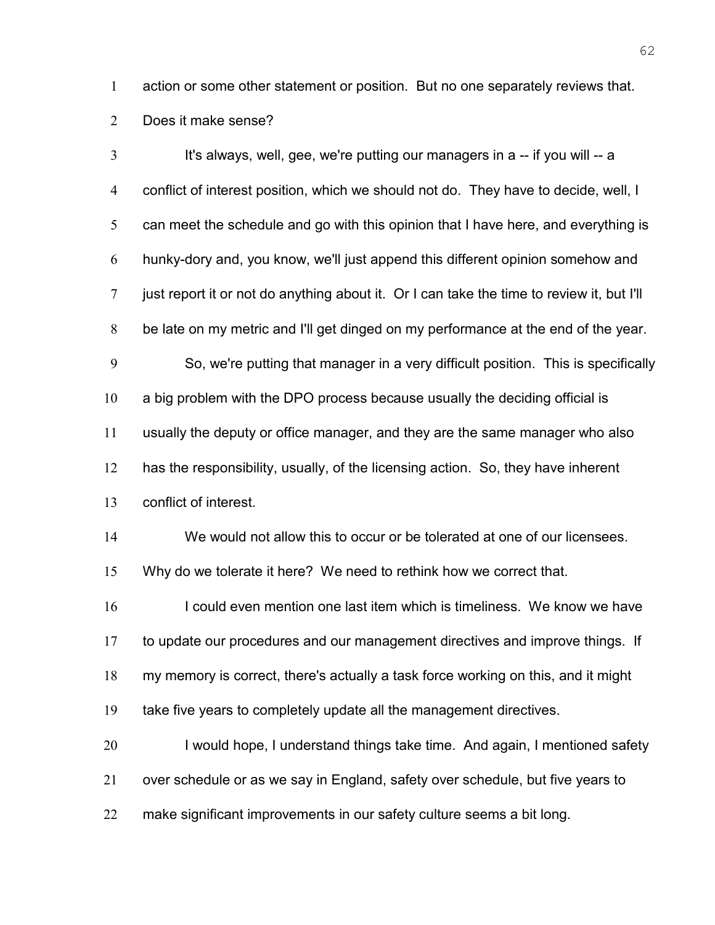action or some other statement or position. But no one separately reviews that.

Does it make sense?

3 It's always, well, gee, we're putting our managers in a -- if you will -- a conflict of interest position, which we should not do. They have to decide, well, I 5 can meet the schedule and go with this opinion that I have here, and everything is hunky-dory and, you know, we'll just append this different opinion somehow and just report it or not do anything about it. Or I can take the time to review it, but I'll be late on my metric and I'll get dinged on my performance at the end of the year. So, we're putting that manager in a very difficult position. This is specifically a big problem with the DPO process because usually the deciding official is usually the deputy or office manager, and they are the same manager who also has the responsibility, usually, of the licensing action. So, they have inherent conflict of interest. We would not allow this to occur or be tolerated at one of our licensees. Why do we tolerate it here? We need to rethink how we correct that. 16 I could even mention one last item which is timeliness. We know we have to update our procedures and our management directives and improve things. If my memory is correct, there's actually a task force working on this, and it might take five years to completely update all the management directives. 20 I would hope, I understand things take time. And again, I mentioned safety over schedule or as we say in England, safety over schedule, but five years to make significant improvements in our safety culture seems a bit long.